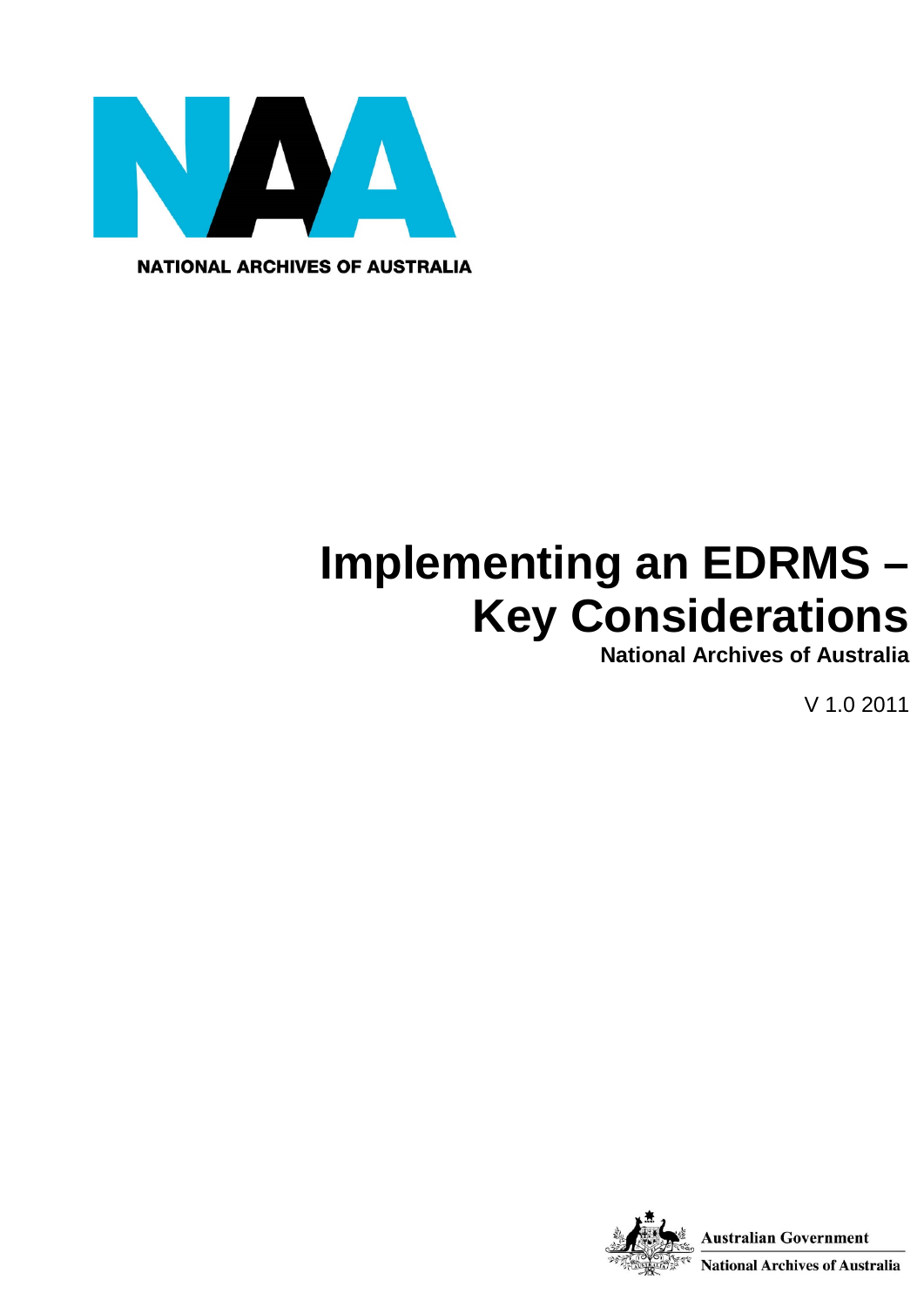

**NATIONAL ARCHIVES OF AUSTRALIA** 

# **Implementing an EDRMS – Key Considerations**

**National Archives of Australia**

V 1.0 2011

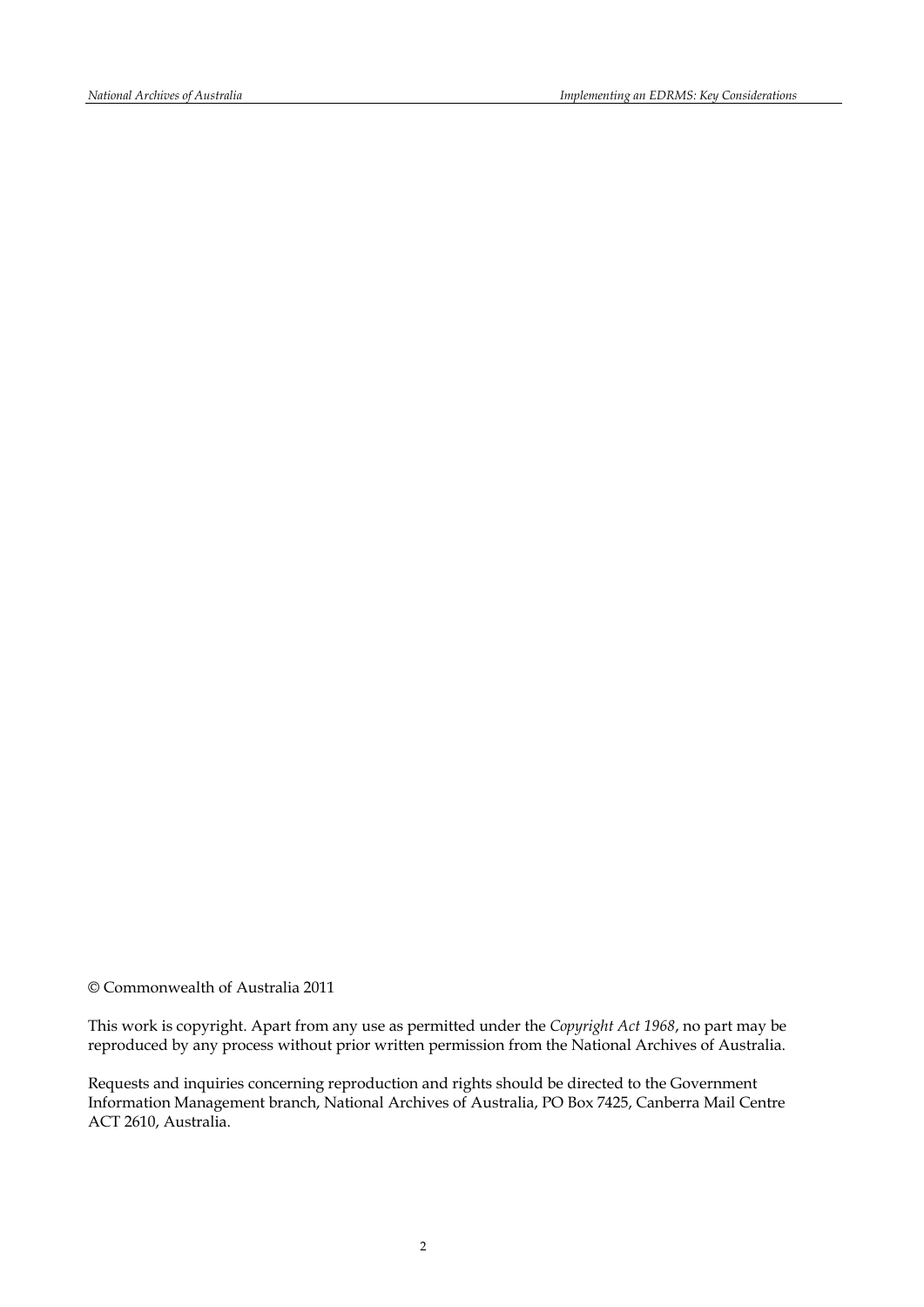© Commonwealth of Australia 2011

This work is copyright. Apart from any use as permitted under the *Copyright Act 1968*, no part may be reproduced by any process without prior written permission from the National Archives of Australia.

Requests and inquiries concerning reproduction and rights should be directed to the Government Information Management branch, National Archives of Australia, PO Box 7425, Canberra Mail Centre ACT 2610, Australia.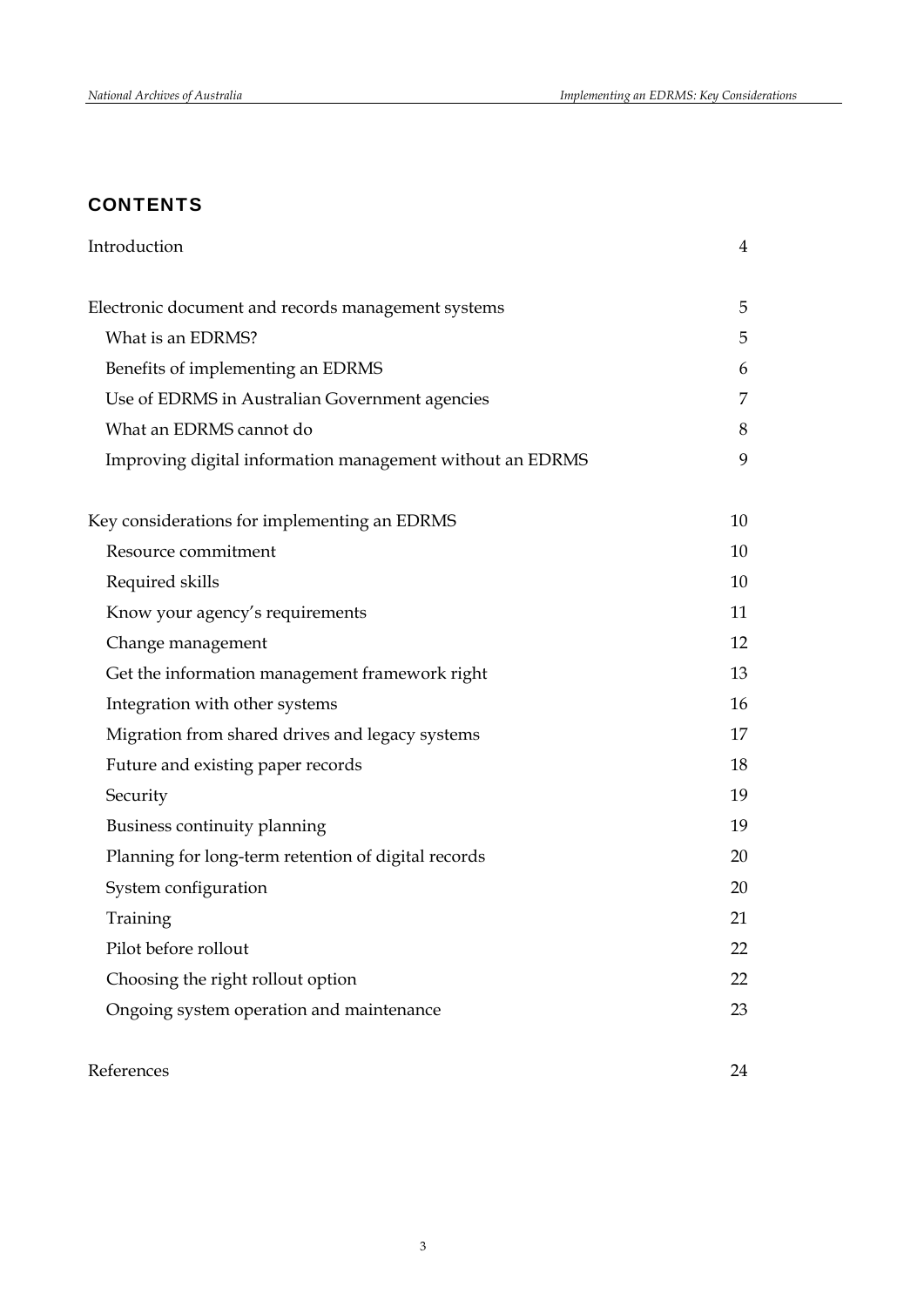# **CONTENTS**

| Introduction                                              | 4  |
|-----------------------------------------------------------|----|
|                                                           | 5  |
| Electronic document and records management systems        |    |
| What is an EDRMS?                                         | 5  |
| Benefits of implementing an EDRMS                         | 6  |
| Use of EDRMS in Australian Government agencies            | 7  |
| What an EDRMS cannot do                                   | 8  |
| Improving digital information management without an EDRMS | 9  |
| Key considerations for implementing an EDRMS              | 10 |
| Resource commitment                                       | 10 |
| Required skills                                           | 10 |
| Know your agency's requirements                           | 11 |
| Change management                                         | 12 |
| Get the information management framework right            | 13 |
| Integration with other systems                            | 16 |
| Migration from shared drives and legacy systems           | 17 |
| Future and existing paper records                         | 18 |
| Security                                                  | 19 |
| Business continuity planning                              | 19 |
| Planning for long-term retention of digital records       | 20 |
| System configuration                                      | 20 |
| Training                                                  | 21 |
| Pilot before rollout                                      | 22 |
| Choosing the right rollout option                         | 22 |
| Ongoing system operation and maintenance                  | 23 |
|                                                           |    |

## References 24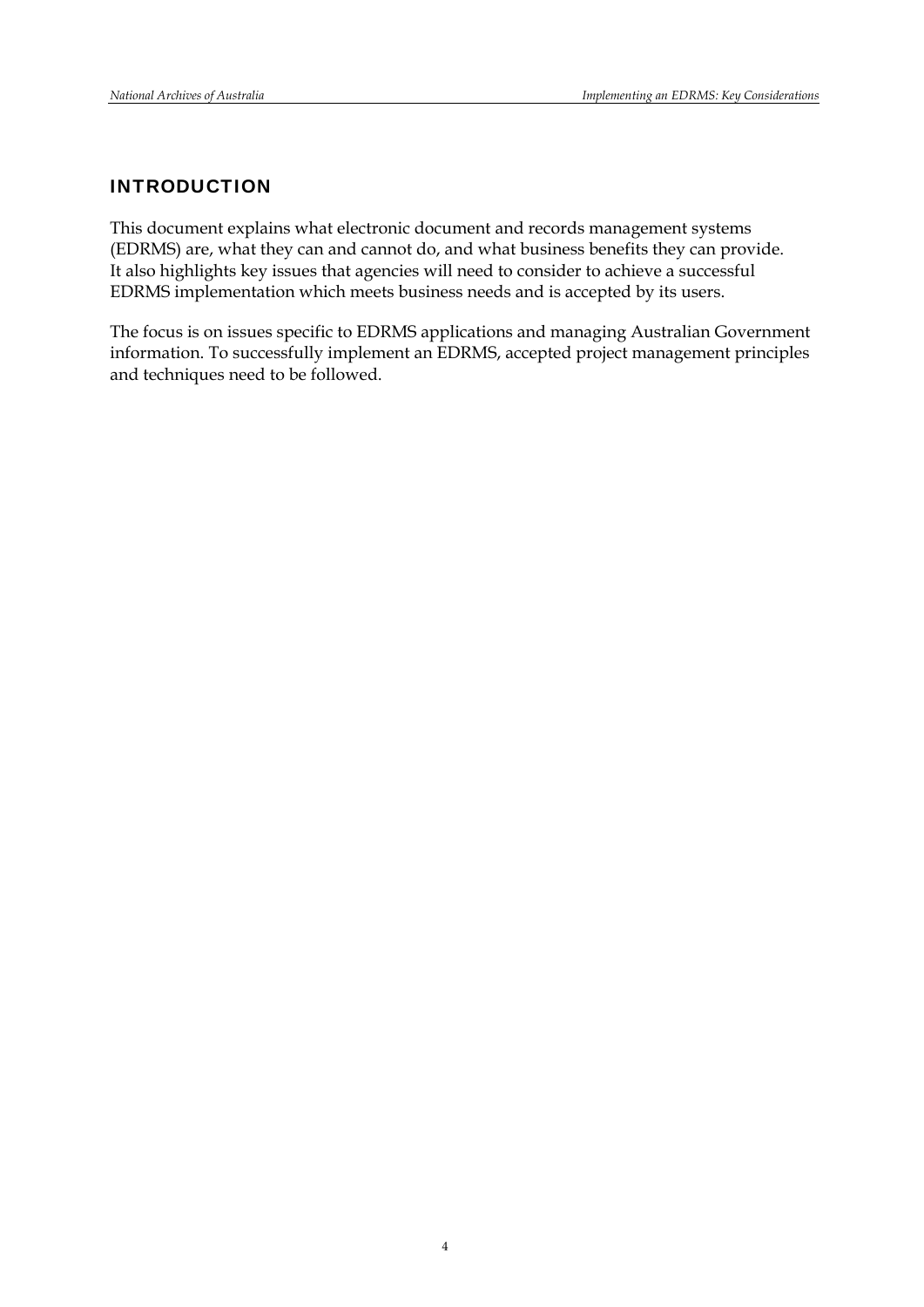## INTRODUCTION

This document explains what electronic document and records management systems (EDRMS) are, what they can and cannot do, and what business benefits they can provide. It also highlights key issues that agencies will need to consider to achieve a successful EDRMS implementation which meets business needs and is accepted by its users.

The focus is on issues specific to EDRMS applications and managing Australian Government information. To successfully implement an EDRMS, accepted project management principles and techniques need to be followed.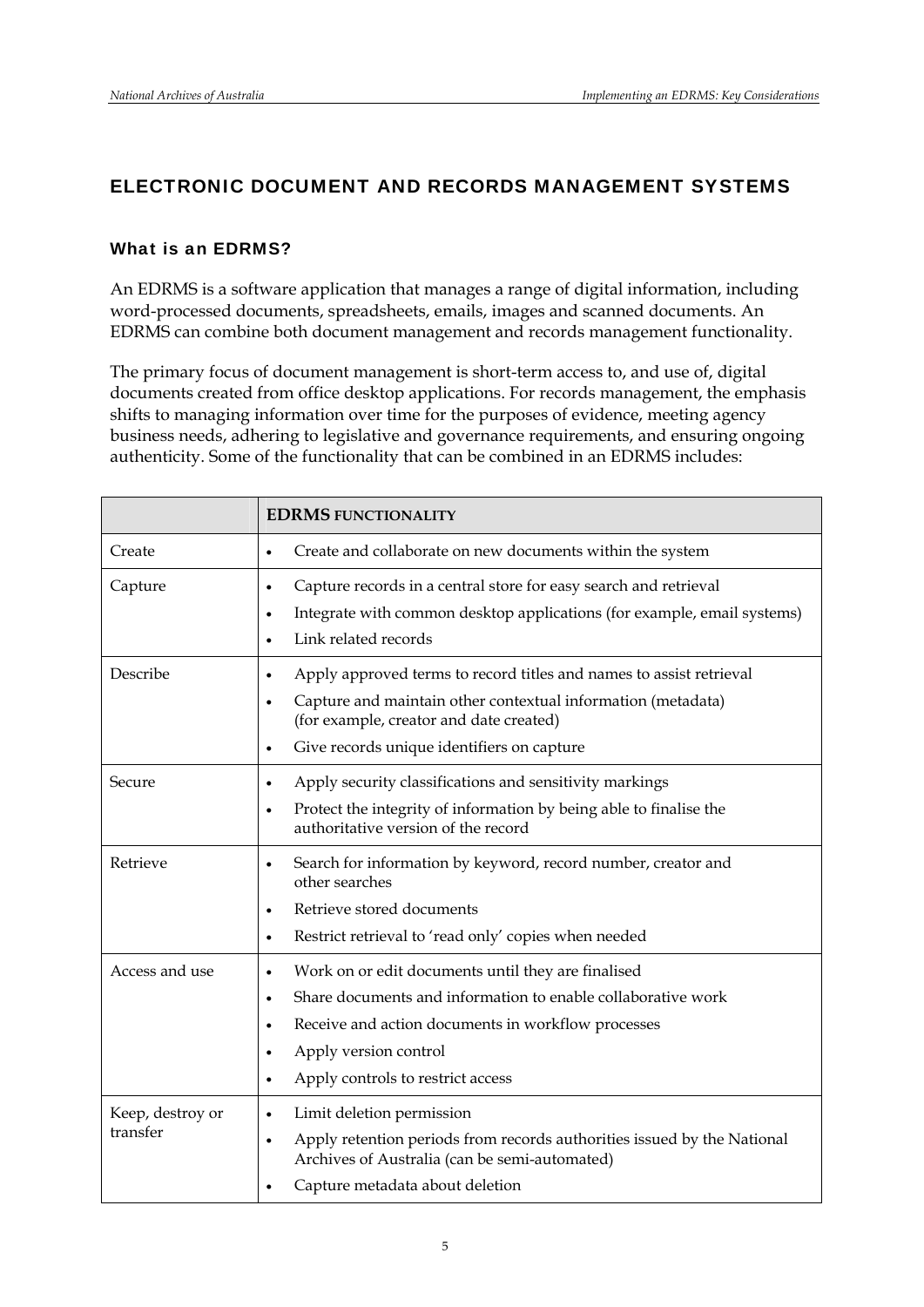## ELECTRONIC DOCUMENT AND RECORDS MANAGEMENT SYSTEMS

## What is an EDRMS?

An EDRMS is a software application that manages a range of digital information, including word-processed documents, spreadsheets, emails, images and scanned documents. An EDRMS can combine both document management and records management functionality.

The primary focus of document management is short-term access to, and use of, digital documents created from office desktop applications. For records management, the emphasis shifts to managing information over time for the purposes of evidence, meeting agency business needs, adhering to legislative and governance requirements, and ensuring ongoing authenticity. Some of the functionality that can be combined in an EDRMS includes:

|                              | <b>EDRMS FUNCTIONALITY</b>                                                                                                                                                                                                                                                                      |
|------------------------------|-------------------------------------------------------------------------------------------------------------------------------------------------------------------------------------------------------------------------------------------------------------------------------------------------|
| Create                       | Create and collaborate on new documents within the system<br>$\bullet$                                                                                                                                                                                                                          |
| Capture                      | Capture records in a central store for easy search and retrieval<br>$\bullet$<br>Integrate with common desktop applications (for example, email systems)<br>$\bullet$<br>Link related records<br>$\bullet$                                                                                      |
| Describe                     | Apply approved terms to record titles and names to assist retrieval<br>٠<br>Capture and maintain other contextual information (metadata)<br>$\bullet$<br>(for example, creator and date created)<br>Give records unique identifiers on capture<br>$\bullet$                                     |
| Secure                       | Apply security classifications and sensitivity markings<br>$\bullet$<br>Protect the integrity of information by being able to finalise the<br>$\bullet$<br>authoritative version of the record                                                                                                  |
| Retrieve                     | Search for information by keyword, record number, creator and<br>٠<br>other searches<br>Retrieve stored documents<br>$\bullet$<br>Restrict retrieval to 'read only' copies when needed<br>$\bullet$                                                                                             |
| Access and use               | Work on or edit documents until they are finalised<br>$\bullet$<br>Share documents and information to enable collaborative work<br>$\bullet$<br>Receive and action documents in workflow processes<br>$\bullet$<br>Apply version control<br>٠<br>Apply controls to restrict access<br>$\bullet$ |
| Keep, destroy or<br>transfer | Limit deletion permission<br>$\bullet$<br>Apply retention periods from records authorities issued by the National<br>$\bullet$<br>Archives of Australia (can be semi-automated)<br>Capture metadata about deletion<br>$\bullet$                                                                 |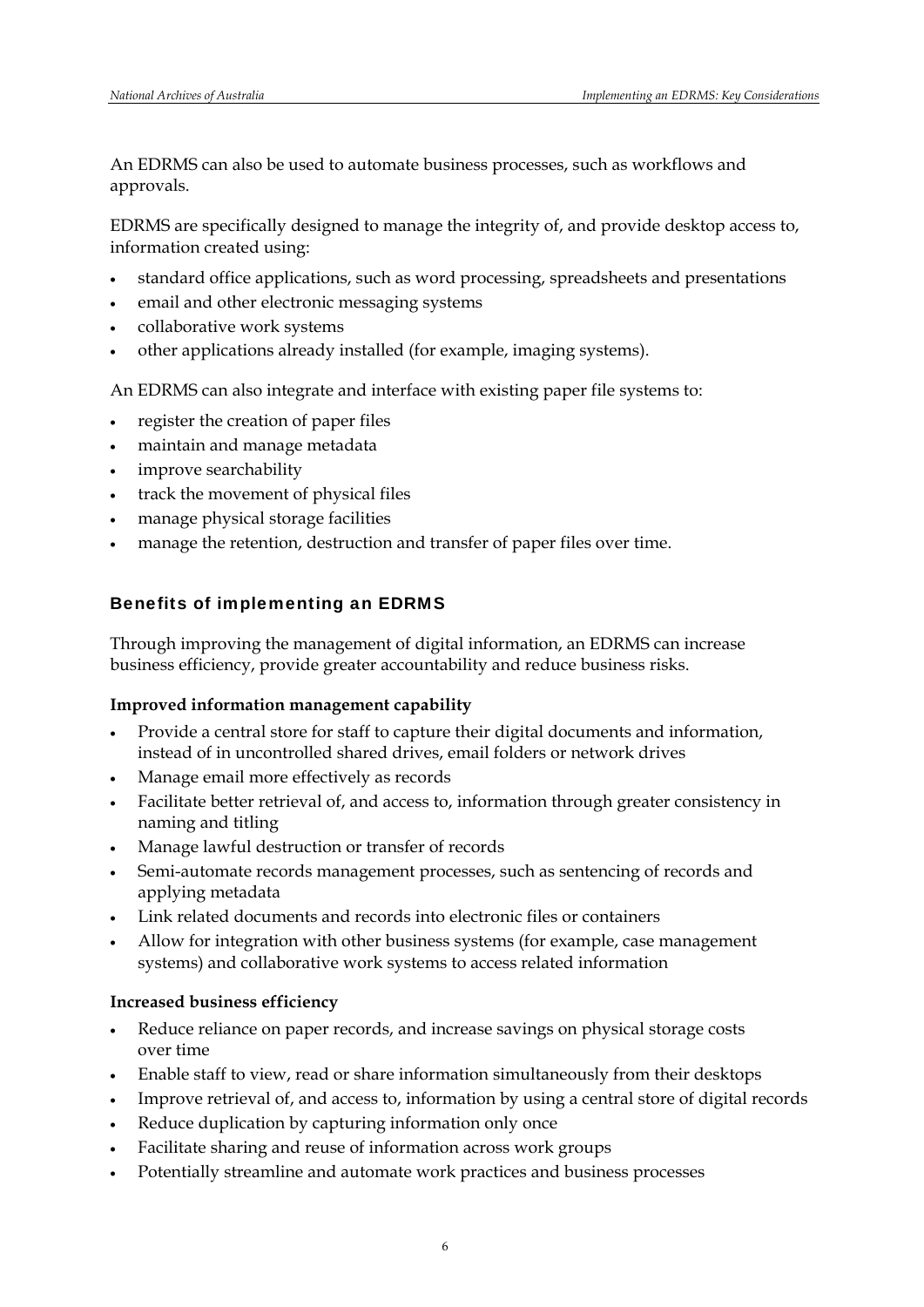An EDRMS can also be used to automate business processes, such as workflows and approvals.

EDRMS are specifically designed to manage the integrity of, and provide desktop access to, information created using:

- standard office applications, such as word processing, spreadsheets and presentations
- email and other electronic messaging systems
- collaborative work systems
- other applications already installed (for example, imaging systems).

An EDRMS can also integrate and interface with existing paper file systems to:

- register the creation of paper files
- maintain and manage metadata
- improve searchability
- track the movement of physical files
- manage physical storage facilities
- manage the retention, destruction and transfer of paper files over time.

## Benefits of implementing an EDRMS

Through improving the management of digital information, an EDRMS can increase business efficiency, provide greater accountability and reduce business risks.

#### **Improved information management capability**

- Provide a central store for staff to capture their digital documents and information, instead of in uncontrolled shared drives, email folders or network drives
- Manage email more effectively as records
- Facilitate better retrieval of, and access to, information through greater consistency in naming and titling
- Manage lawful destruction or transfer of records
- Semi-automate records management processes, such as sentencing of records and applying metadata
- Link related documents and records into electronic files or containers
- Allow for integration with other business systems (for example, case management systems) and collaborative work systems to access related information

#### **Increased business efficiency**

- Reduce reliance on paper records, and increase savings on physical storage costs over time
- Enable staff to view, read or share information simultaneously from their desktops
- Improve retrieval of, and access to, information by using a central store of digital records
- Reduce duplication by capturing information only once
- Facilitate sharing and reuse of information across work groups
- Potentially streamline and automate work practices and business processes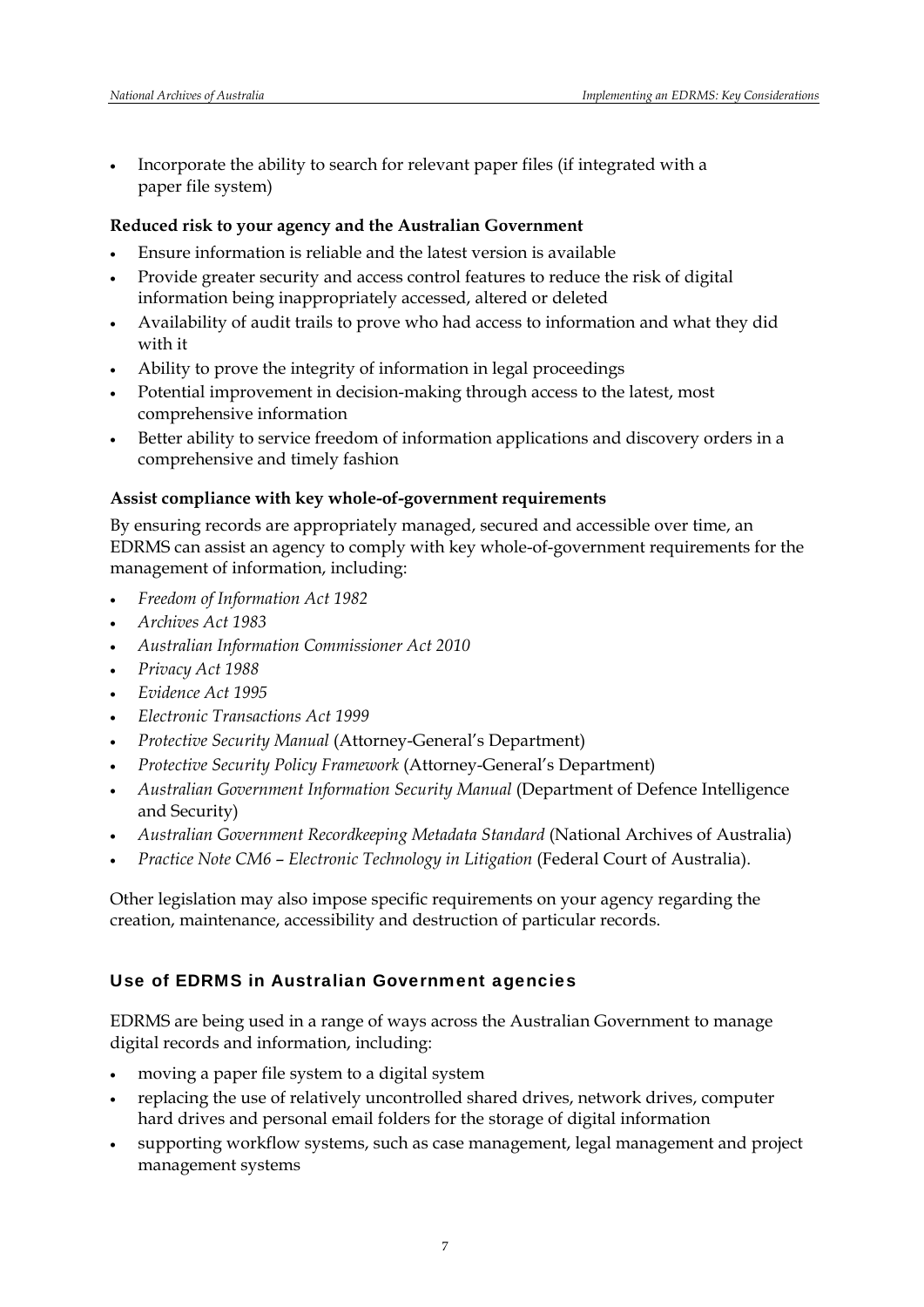Incorporate the ability to search for relevant paper files (if integrated with a paper file system)

### **Reduced risk to your agency and the Australian Government**

- Ensure information is reliable and the latest version is available
- Provide greater security and access control features to reduce the risk of digital information being inappropriately accessed, altered or deleted
- Availability of audit trails to prove who had access to information and what they did with it
- Ability to prove the integrity of information in legal proceedings
- Potential improvement in decision-making through access to the latest, most comprehensive information
- Better ability to service freedom of information applications and discovery orders in a comprehensive and timely fashion

## **Assist compliance with key whole-of-government requirements**

By ensuring records are appropriately managed, secured and accessible over time, an EDRMS can assist an agency to comply with key whole-of-government requirements for the management of information, including:

- *Freedom of Information Act 1982*
- *Archives Act 1983*
- *Australian Information Commissioner Act 2010*
- *Privacy Act 1988*
- *Evidence Act 1995*
- *Electronic Transactions Act 1999*
- *Protective Security Manual* (Attorney-General's Department)
- *Protective Security Policy Framework* (Attorney-General's Department)
- *Australian Government Information Security Manual* (Department of Defence Intelligence and Security)
- *Australian Government Recordkeeping Metadata Standard* (National Archives of Australia)
- *Practice Note CM6 Electronic Technology in Litigation* (Federal Court of Australia).

Other legislation may also impose specific requirements on your agency regarding the creation, maintenance, accessibility and destruction of particular records.

## Use of EDRMS in Australian Government agencies

EDRMS are being used in a range of ways across the Australian Government to manage digital records and information, including:

- moving a paper file system to a digital system
- replacing the use of relatively uncontrolled shared drives, network drives, computer hard drives and personal email folders for the storage of digital information
- supporting workflow systems, such as case management, legal management and project management systems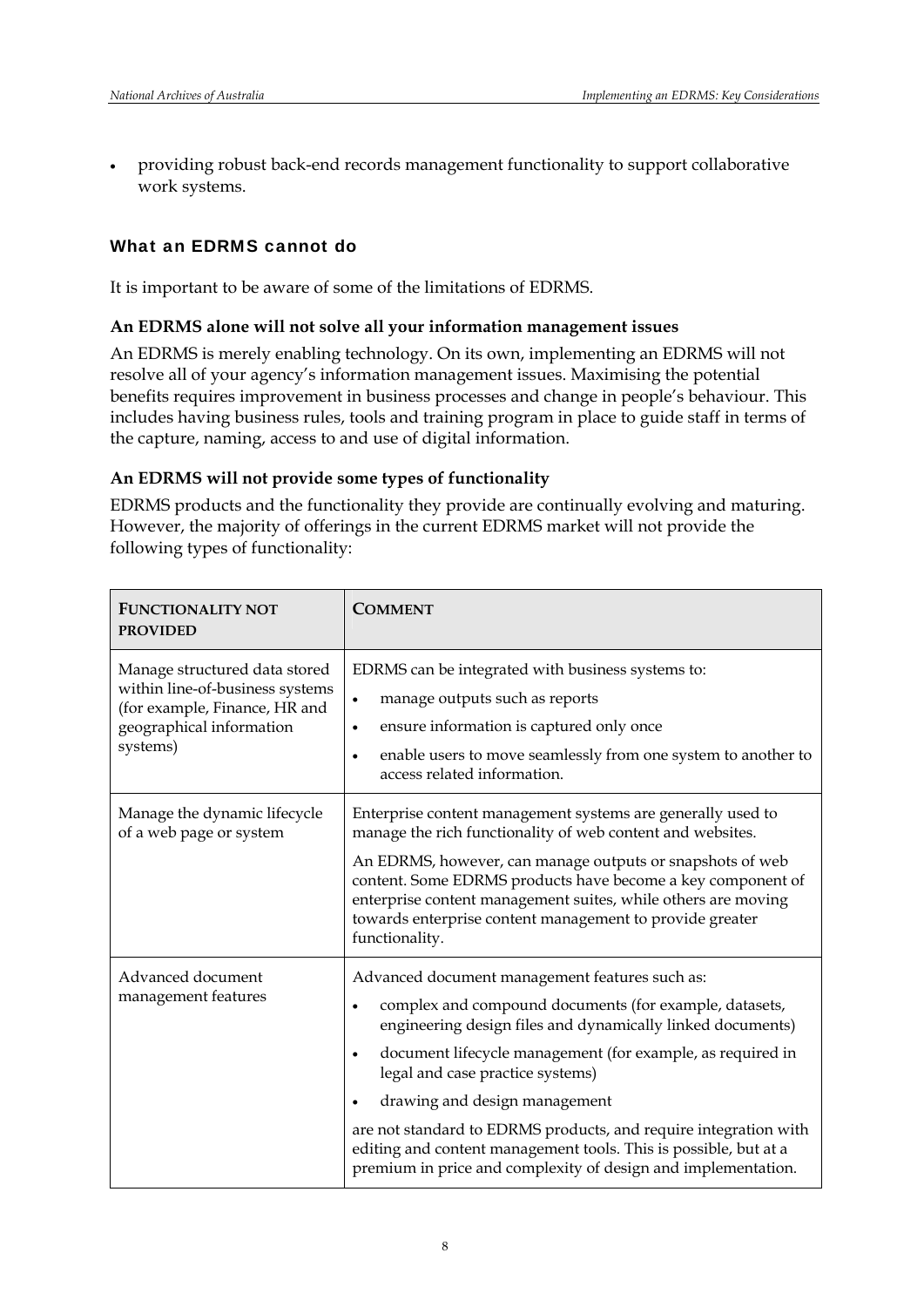providing robust back-end records management functionality to support collaborative work systems.

### What an EDRMS cannot do

It is important to be aware of some of the limitations of EDRMS.

#### **An EDRMS alone will not solve all your information management issues**

An EDRMS is merely enabling technology. On its own, implementing an EDRMS will not resolve all of your agency's information management issues. Maximising the potential benefits requires improvement in business processes and change in people's behaviour. This includes having business rules, tools and training program in place to guide staff in terms of the capture, naming, access to and use of digital information.

#### **An EDRMS will not provide some types of functionality**

EDRMS products and the functionality they provide are continually evolving and maturing. However, the majority of offerings in the current EDRMS market will not provide the following types of functionality:

| <b>FUNCTIONALITY NOT</b><br><b>PROVIDED</b>                                                                                               | <b>COMMENT</b>                                                                                                                                                                                                                                                                                                                                                                                                                                                                                                                               |
|-------------------------------------------------------------------------------------------------------------------------------------------|----------------------------------------------------------------------------------------------------------------------------------------------------------------------------------------------------------------------------------------------------------------------------------------------------------------------------------------------------------------------------------------------------------------------------------------------------------------------------------------------------------------------------------------------|
| Manage structured data stored<br>within line-of-business systems<br>(for example, Finance, HR and<br>geographical information<br>systems) | EDRMS can be integrated with business systems to:<br>manage outputs such as reports<br>$\bullet$<br>ensure information is captured only once<br>$\bullet$<br>enable users to move seamlessly from one system to another to<br>$\bullet$<br>access related information.                                                                                                                                                                                                                                                                       |
| Manage the dynamic lifecycle<br>of a web page or system                                                                                   | Enterprise content management systems are generally used to<br>manage the rich functionality of web content and websites.<br>An EDRMS, however, can manage outputs or snapshots of web<br>content. Some EDRMS products have become a key component of<br>enterprise content management suites, while others are moving<br>towards enterprise content management to provide greater<br>functionality.                                                                                                                                         |
| Advanced document<br>management features                                                                                                  | Advanced document management features such as:<br>complex and compound documents (for example, datasets,<br>$\bullet$<br>engineering design files and dynamically linked documents)<br>document lifecycle management (for example, as required in<br>$\bullet$<br>legal and case practice systems)<br>drawing and design management<br>are not standard to EDRMS products, and require integration with<br>editing and content management tools. This is possible, but at a<br>premium in price and complexity of design and implementation. |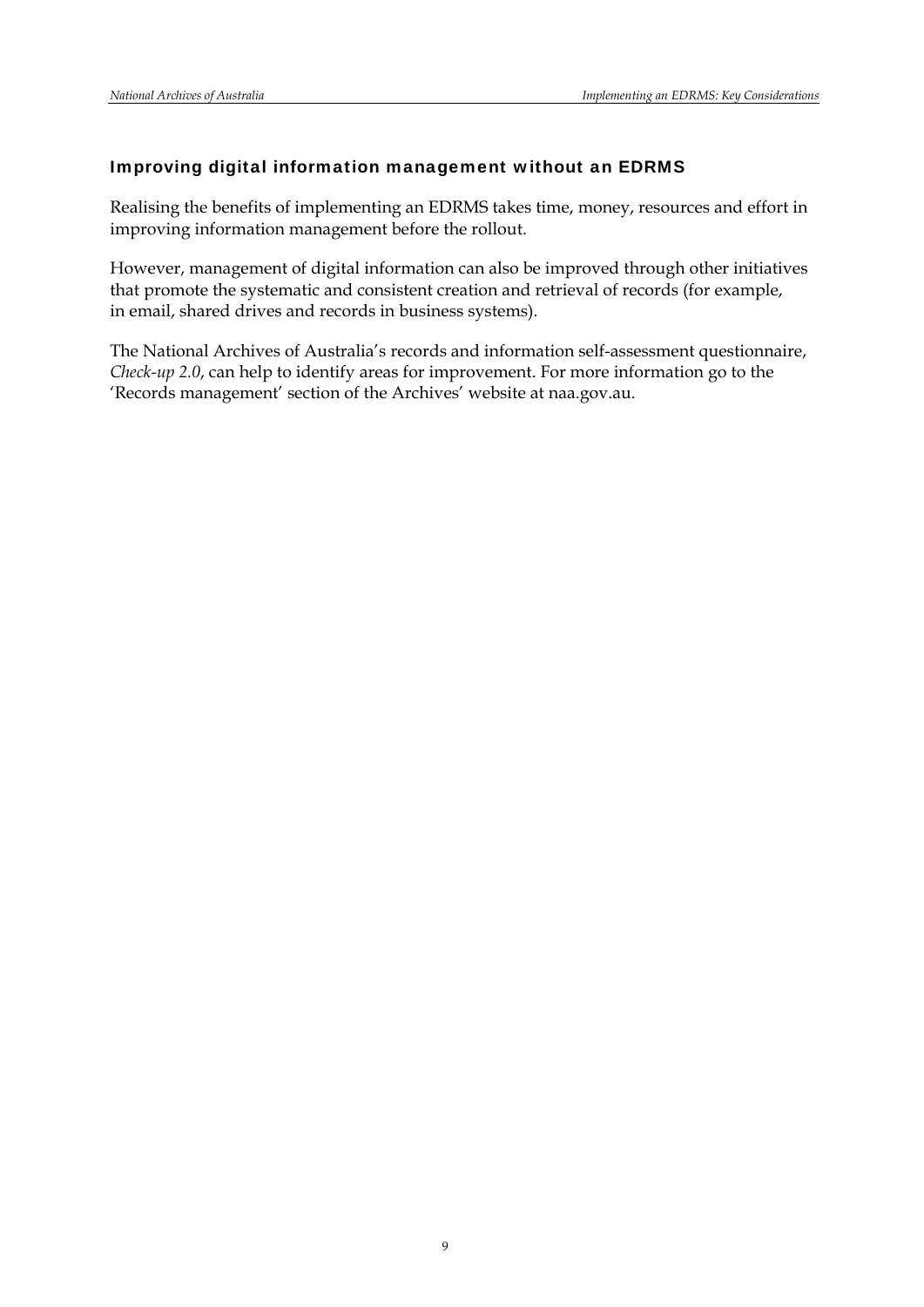### Improving digital information management without an EDRMS

Realising the benefits of implementing an EDRMS takes time, money, resources and effort in improving information management before the rollout.

However, management of digital information can also be improved through other initiatives that promote the systematic and consistent creation and retrieval of records (for example, in email, shared drives and records in business systems).

The National Archives of Australia's records and information self-assessment questionnaire, *Check-up 2.0*, can help to identify areas for improvement. For more information go to the 'Records management' section of the Archives' website at naa.gov.au.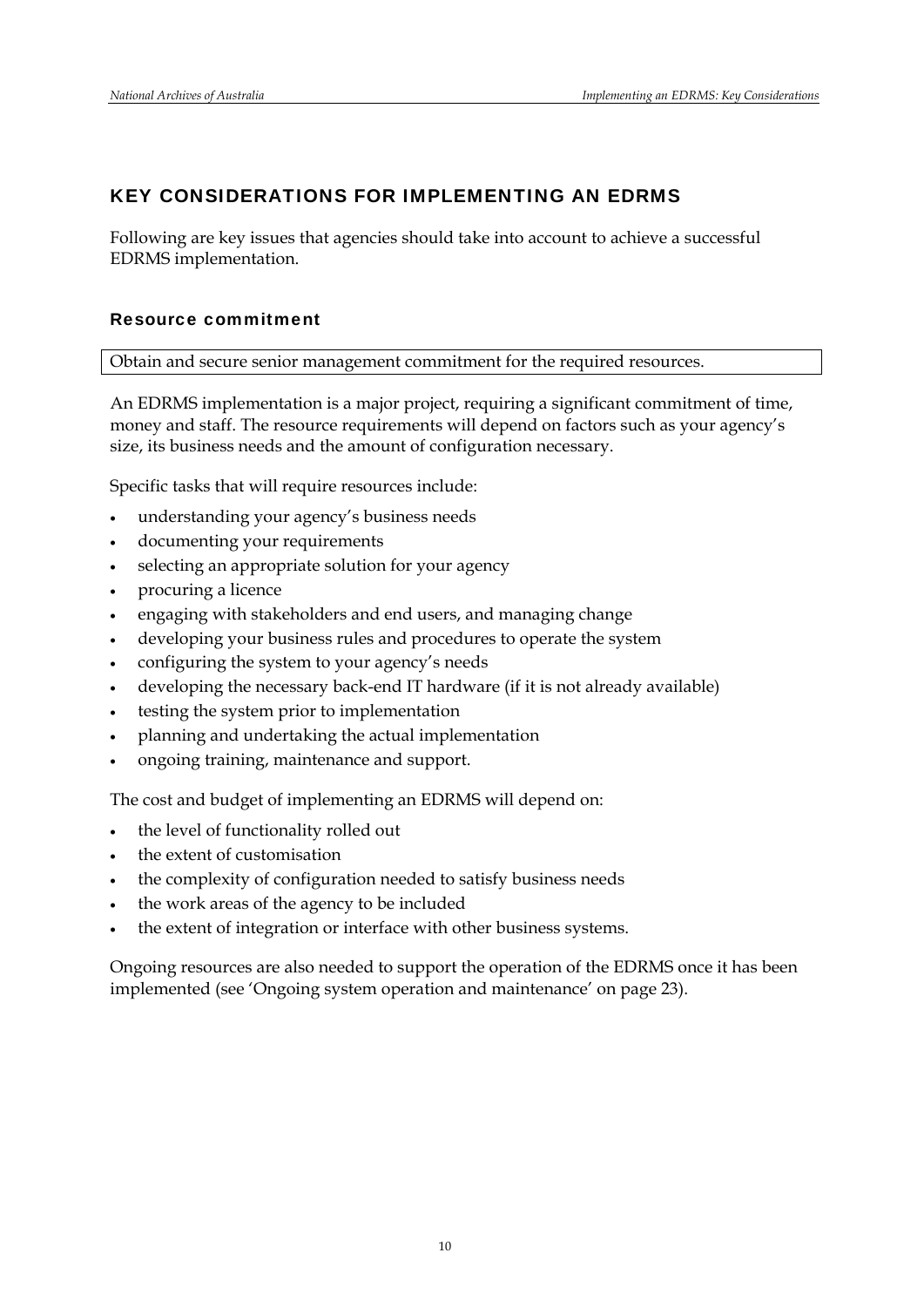## KEY CONSIDERATIONS FOR IMPLEMENTING AN EDRMS

Following are key issues that agencies should take into account to achieve a successful EDRMS implementation.

## Resource commitment

Obtain and secure senior management commitment for the required resources.

An EDRMS implementation is a major project, requiring a significant commitment of time, money and staff. The resource requirements will depend on factors such as your agency's size, its business needs and the amount of configuration necessary.

Specific tasks that will require resources include:

- understanding your agency's business needs
- documenting your requirements
- selecting an appropriate solution for your agency
- procuring a licence
- engaging with stakeholders and end users, and managing change
- developing your business rules and procedures to operate the system
- configuring the system to your agency's needs
- developing the necessary back-end IT hardware (if it is not already available)
- testing the system prior to implementation
- planning and undertaking the actual implementation
- ongoing training, maintenance and support.

The cost and budget of implementing an EDRMS will depend on:

- the level of functionality rolled out
- the extent of customisation
- the complexity of configuration needed to satisfy business needs
- the work areas of the agency to be included
- the extent of integration or interface with other business systems.

Ongoing resources are also needed to support the operation of the EDRMS once it has been implemented (see 'Ongoing system operation and maintenance' on page 23).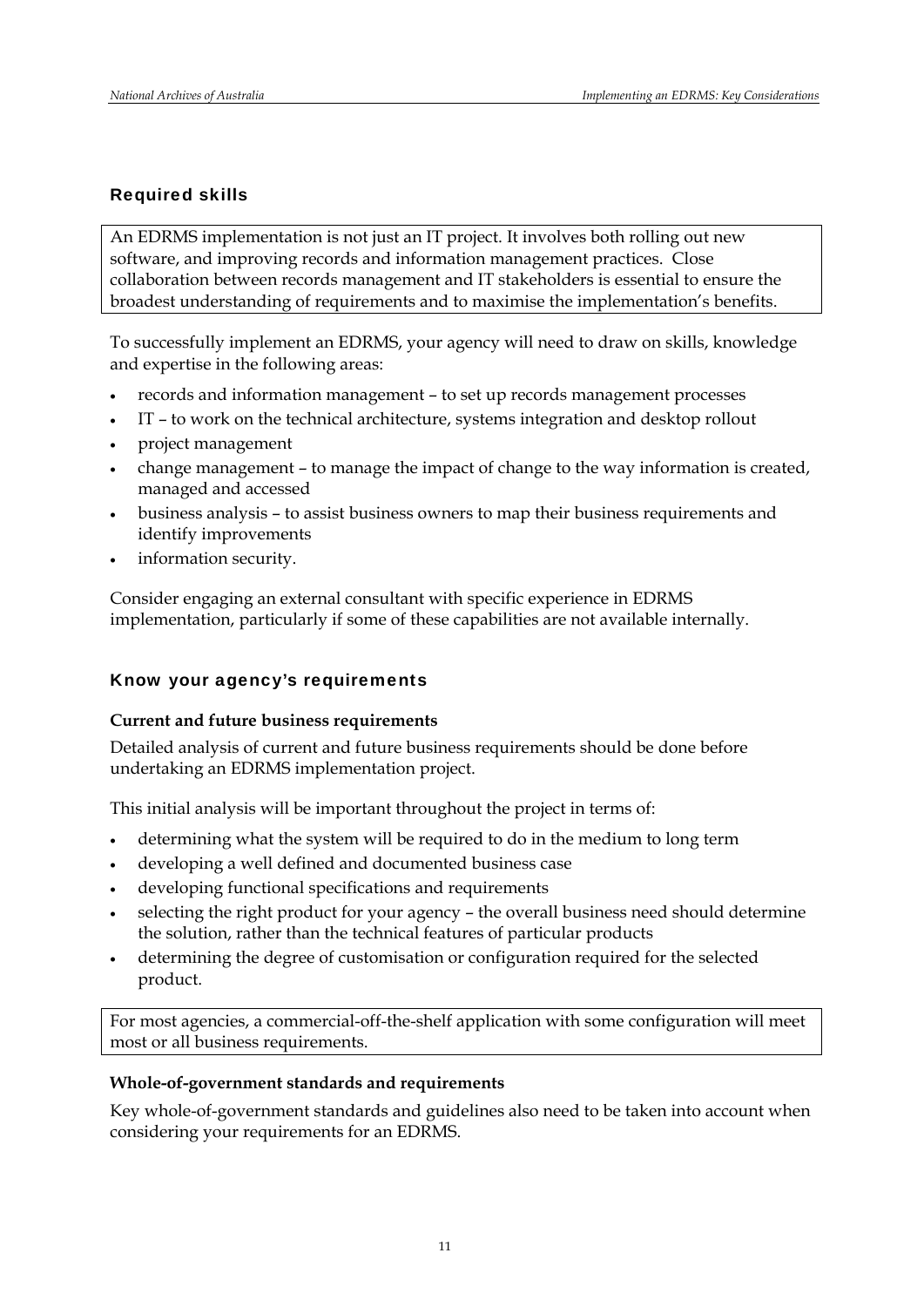## Required skills

An EDRMS implementation is not just an IT project. It involves both rolling out new software, and improving records and information management practices. Close collaboration between records management and IT stakeholders is essential to ensure the broadest understanding of requirements and to maximise the implementation's benefits.

To successfully implement an EDRMS, your agency will need to draw on skills, knowledge and expertise in the following areas:

- records and information management to set up records management processes
- IT to work on the technical architecture, systems integration and desktop rollout
- project management
- change management to manage the impact of change to the way information is created, managed and accessed
- business analysis to assist business owners to map their business requirements and identify improvements
- information security.

Consider engaging an external consultant with specific experience in EDRMS implementation, particularly if some of these capabilities are not available internally.

## Know your agency's requirements

#### **Current and future business requirements**

Detailed analysis of current and future business requirements should be done before undertaking an EDRMS implementation project.

This initial analysis will be important throughout the project in terms of:

- determining what the system will be required to do in the medium to long term
- developing a well defined and documented business case
- developing functional specifications and requirements
- selecting the right product for your agency the overall business need should determine the solution, rather than the technical features of particular products
- determining the degree of customisation or configuration required for the selected product.

For most agencies, a commercial-off-the-shelf application with some configuration will meet most or all business requirements.

#### **Whole-of-government standards and requirements**

Key whole-of-government standards and guidelines also need to be taken into account when considering your requirements for an EDRMS.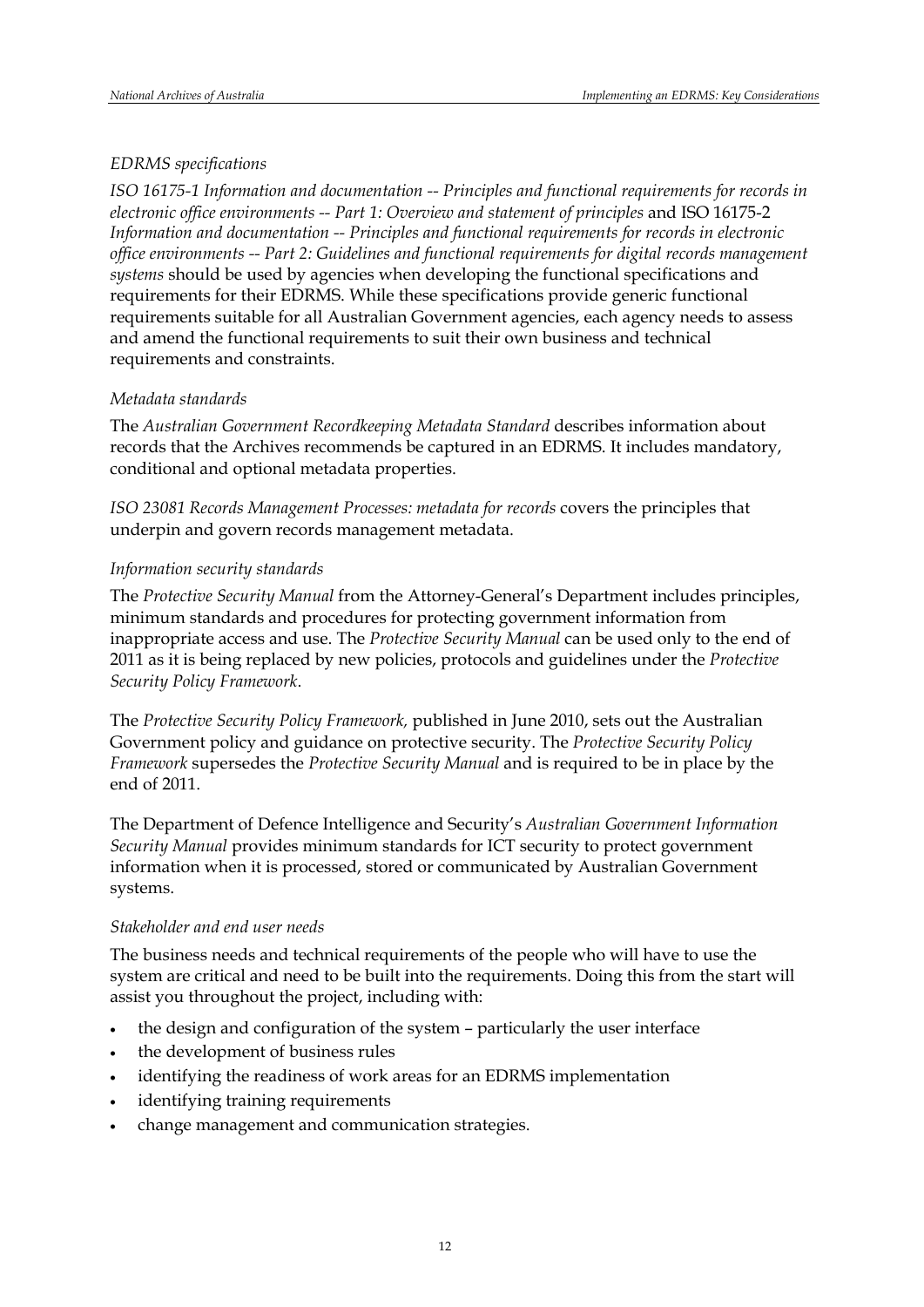## *EDRMS specifications*

*ISO 16175-1 Information and documentation -- Principles and functional requirements for records in electronic office environments -- Part 1: Overview and statement of principles* and ISO 16175-2 *Information and documentation -- Principles and functional requirements for records in electronic office environments -- Part 2: Guidelines and functional requirements for digital records management systems* should be used by agencies when developing the functional specifications and requirements for their EDRMS. While these specifications provide generic functional requirements suitable for all Australian Government agencies, each agency needs to assess and amend the functional requirements to suit their own business and technical requirements and constraints.

## *Metadata standards*

The *Australian Government Recordkeeping Metadata Standard* describes information about records that the Archives recommends be captured in an EDRMS. It includes mandatory, conditional and optional metadata properties.

*ISO 23081 Records Management Processes: metadata for records* covers the principles that underpin and govern records management metadata.

## *Information security standards*

The *Protective Security Manual* from the Attorney-General's Department includes principles, minimum standards and procedures for protecting government information from inappropriate access and use. The *Protective Security Manual* can be used only to the end of 2011 as it is being replaced by new policies, protocols and guidelines under the *Protective Security Policy Framework*.

The *Protective Security Policy Framework,* published in June 2010, sets out the Australian Government policy and guidance on protective security. The *Protective Security Policy Framework* supersedes the *Protective Security Manual* and is required to be in place by the end of 2011.

The Department of Defence Intelligence and Security's *Australian Government Information Security Manual* provides minimum standards for ICT security to protect government information when it is processed, stored or communicated by Australian Government systems.

#### *Stakeholder and end user needs*

The business needs and technical requirements of the people who will have to use the system are critical and need to be built into the requirements. Doing this from the start will assist you throughout the project, including with:

- the design and configuration of the system particularly the user interface
- the development of business rules
- identifying the readiness of work areas for an EDRMS implementation
- identifying training requirements
- change management and communication strategies.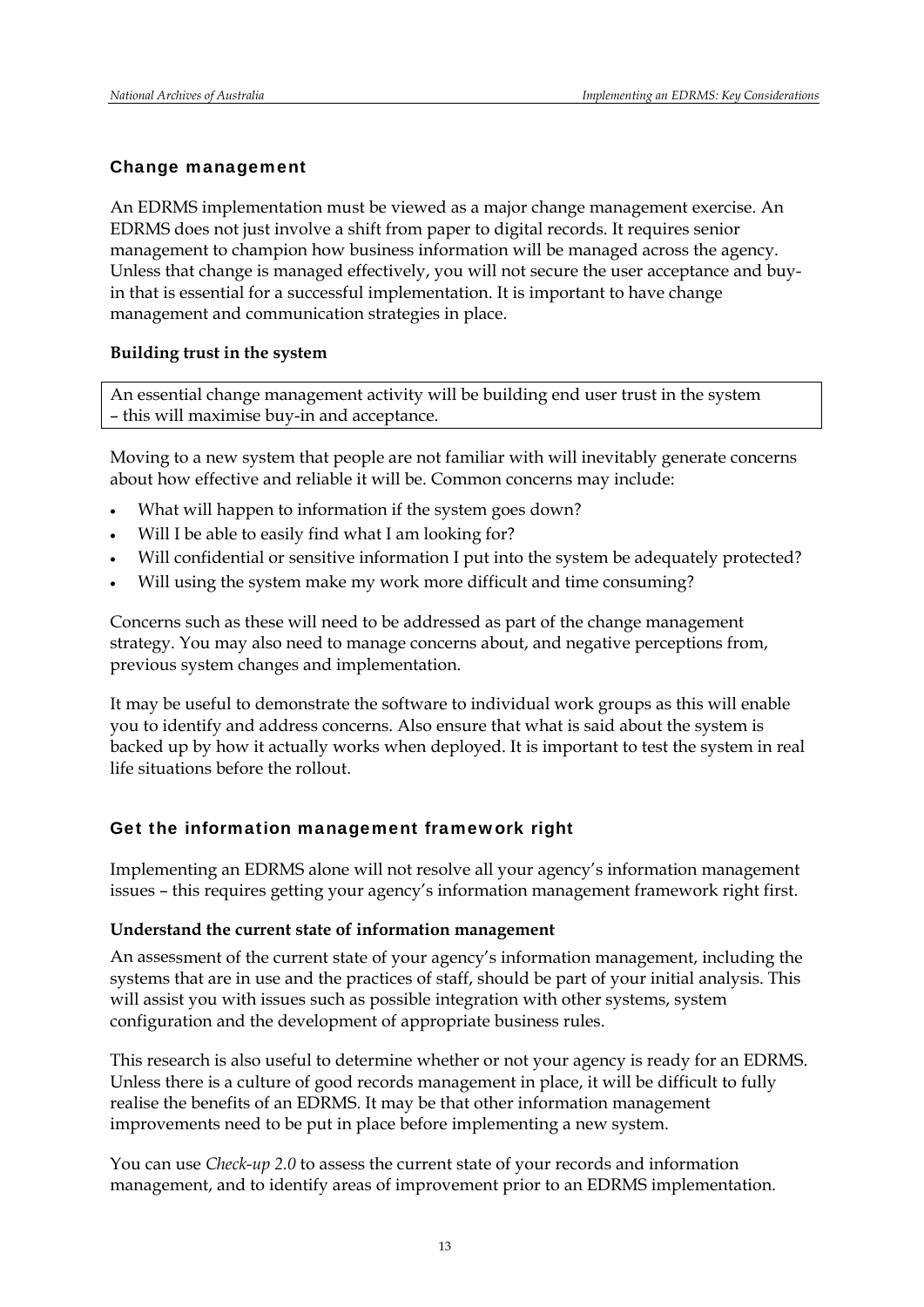#### Change management

An EDRMS implementation must be viewed as a major change management exercise. An EDRMS does not just involve a shift from paper to digital records. It requires senior management to champion how business information will be managed across the agency. Unless that change is managed effectively, you will not secure the user acceptance and buyin that is essential for a successful implementation. It is important to have change management and communication strategies in place.

#### **Building trust in the system**

An essential change management activity will be building end user trust in the system – this will maximise buy-in and acceptance.

Moving to a new system that people are not familiar with will inevitably generate concerns about how effective and reliable it will be. Common concerns may include:

- What will happen to information if the system goes down?
- Will I be able to easily find what I am looking for?
- Will confidential or sensitive information I put into the system be adequately protected?
- Will using the system make my work more difficult and time consuming?

Concerns such as these will need to be addressed as part of the change management strategy. You may also need to manage concerns about, and negative perceptions from, previous system changes and implementation.

It may be useful to demonstrate the software to individual work groups as this will enable you to identify and address concerns. Also ensure that what is said about the system is backed up by how it actually works when deployed. It is important to test the system in real life situations before the rollout.

#### Get the information management framework right

Implementing an EDRMS alone will not resolve all your agency's information management issues – this requires getting your agency's information management framework right first.

#### **Understand the current state of information management**

An assessment of the current state of your agency's information management, including the systems that are in use and the practices of staff, should be part of your initial analysis. This will assist you with issues such as possible integration with other systems, system configuration and the development of appropriate business rules.

This research is also useful to determine whether or not your agency is ready for an EDRMS. Unless there is a culture of good records management in place, it will be difficult to fully realise the benefits of an EDRMS. It may be that other information management improvements need to be put in place before implementing a new system.

You can use *Check-up 2.0* to assess the current state of your records and information management, and to identify areas of improvement prior to an EDRMS implementation.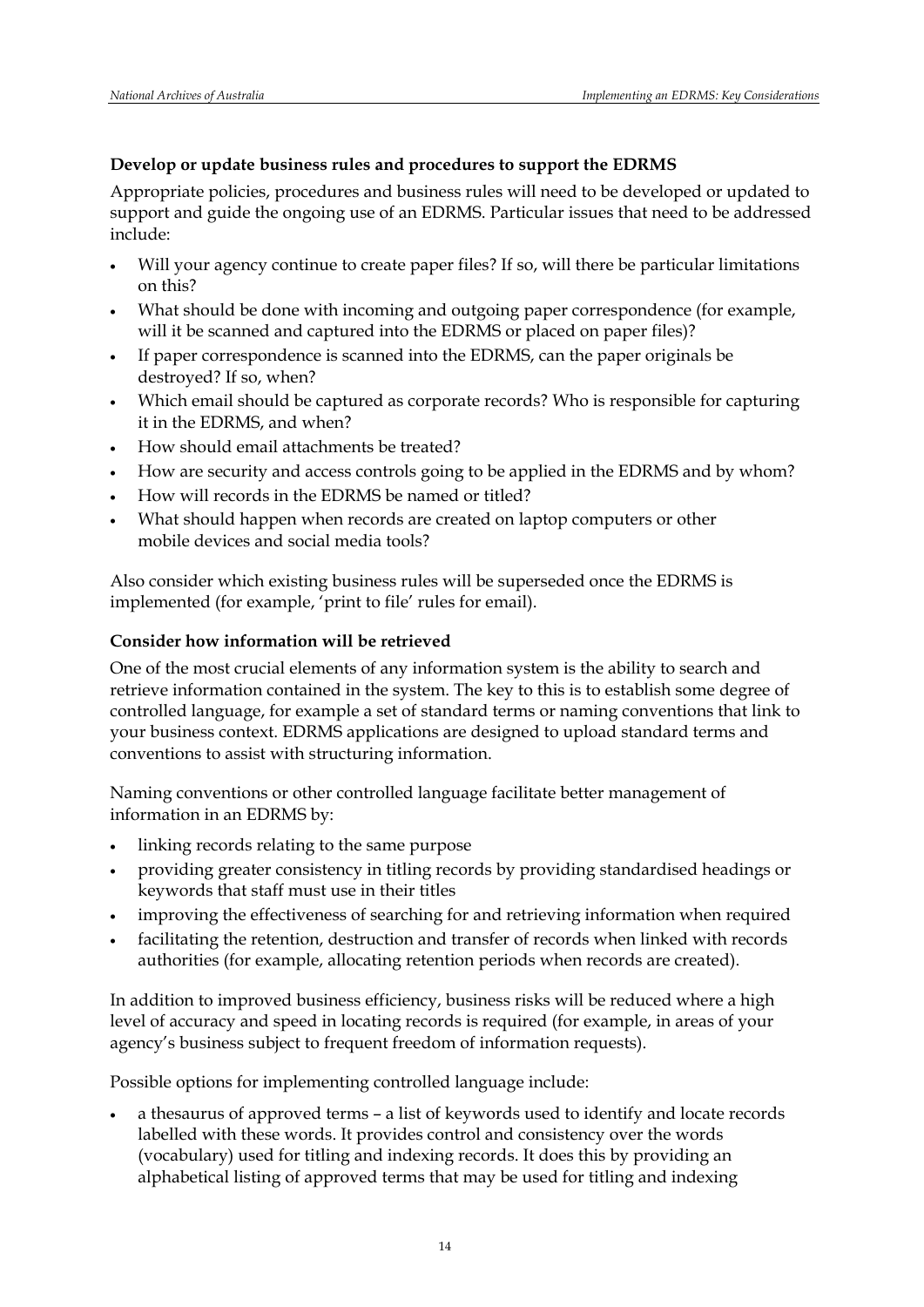## **Develop or update business rules and procedures to support the EDRMS**

Appropriate policies, procedures and business rules will need to be developed or updated to support and guide the ongoing use of an EDRMS. Particular issues that need to be addressed include:

- Will your agency continue to create paper files? If so, will there be particular limitations on this?
- What should be done with incoming and outgoing paper correspondence (for example, will it be scanned and captured into the EDRMS or placed on paper files)?
- If paper correspondence is scanned into the EDRMS, can the paper originals be destroyed? If so, when?
- Which email should be captured as corporate records? Who is responsible for capturing it in the EDRMS, and when?
- How should email attachments be treated?
- How are security and access controls going to be applied in the EDRMS and by whom?
- How will records in the EDRMS be named or titled?
- What should happen when records are created on laptop computers or other mobile devices and social media tools?

Also consider which existing business rules will be superseded once the EDRMS is implemented (for example, 'print to file' rules for email).

## **Consider how information will be retrieved**

One of the most crucial elements of any information system is the ability to search and retrieve information contained in the system. The key to this is to establish some degree of controlled language, for example a set of standard terms or naming conventions that link to your business context. EDRMS applications are designed to upload standard terms and conventions to assist with structuring information.

Naming conventions or other controlled language facilitate better management of information in an EDRMS by:

- linking records relating to the same purpose
- providing greater consistency in titling records by providing standardised headings or keywords that staff must use in their titles
- improving the effectiveness of searching for and retrieving information when required
- facilitating the retention, destruction and transfer of records when linked with records authorities (for example, allocating retention periods when records are created).

In addition to improved business efficiency, business risks will be reduced where a high level of accuracy and speed in locating records is required (for example, in areas of your agency's business subject to frequent freedom of information requests).

Possible options for implementing controlled language include:

 a thesaurus of approved terms – a list of keywords used to identify and locate records labelled with these words. It provides control and consistency over the words (vocabulary) used for titling and indexing records. It does this by providing an alphabetical listing of approved terms that may be used for titling and indexing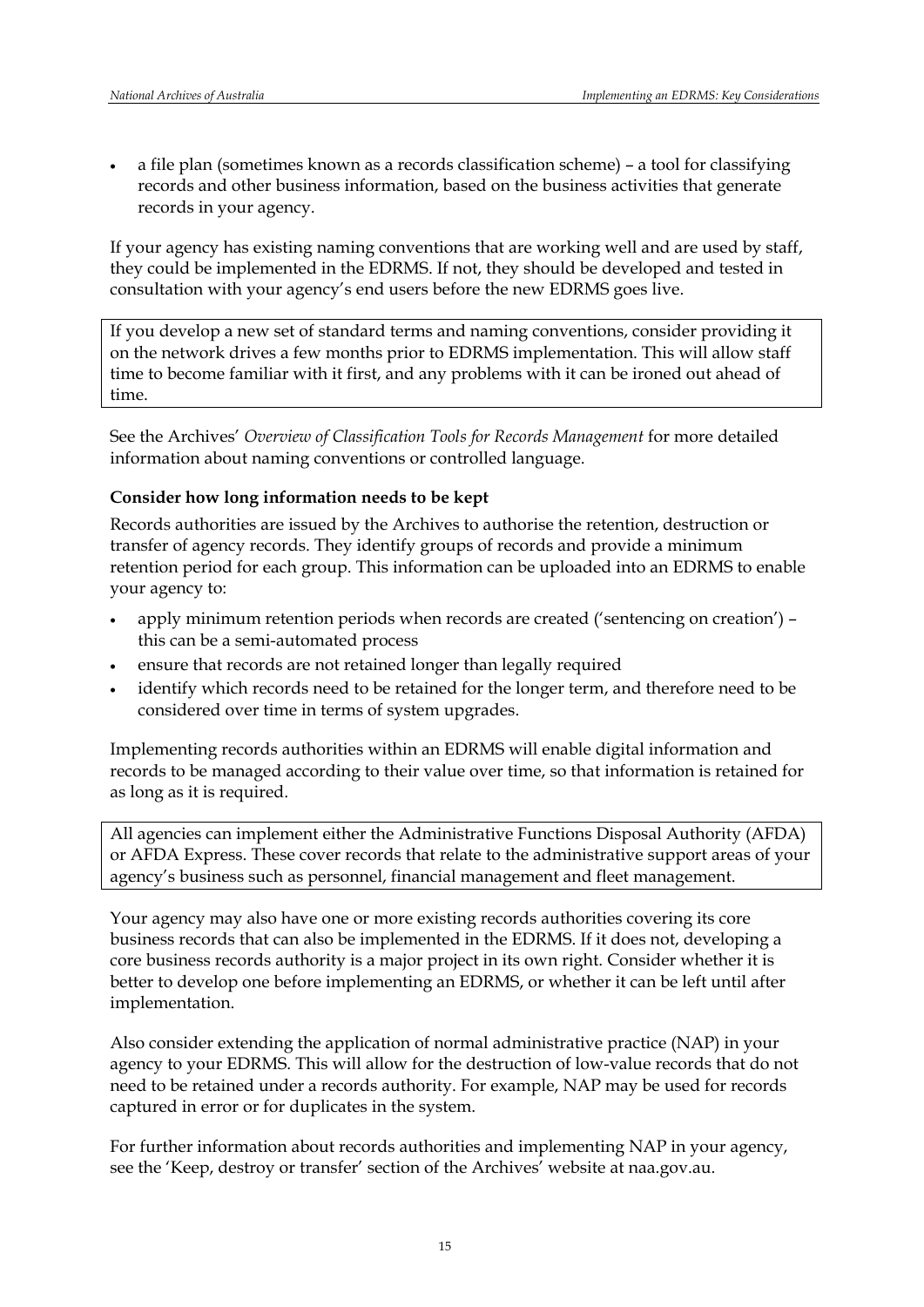a file plan (sometimes known as a records classification scheme) – a tool for classifying records and other business information, based on the business activities that generate records in your agency.

If your agency has existing naming conventions that are working well and are used by staff, they could be implemented in the EDRMS. If not, they should be developed and tested in consultation with your agency's end users before the new EDRMS goes live.

If you develop a new set of standard terms and naming conventions, consider providing it on the network drives a few months prior to EDRMS implementation. This will allow staff time to become familiar with it first, and any problems with it can be ironed out ahead of time.

See the Archives' *Overview of Classification Tools for Records Management* for more detailed information about naming conventions or controlled language.

#### **Consider how long information needs to be kept**

Records authorities are issued by the Archives to authorise the retention, destruction or transfer of agency records. They identify groups of records and provide a minimum retention period for each group. This information can be uploaded into an EDRMS to enable your agency to:

- apply minimum retention periods when records are created ('sentencing on creation') this can be a semi-automated process
- ensure that records are not retained longer than legally required
- identify which records need to be retained for the longer term, and therefore need to be considered over time in terms of system upgrades.

Implementing records authorities within an EDRMS will enable digital information and records to be managed according to their value over time, so that information is retained for as long as it is required.

All agencies can implement either the Administrative Functions Disposal Authority (AFDA) or AFDA Express. These cover records that relate to the administrative support areas of your agency's business such as personnel, financial management and fleet management.

Your agency may also have one or more existing records authorities covering its core business records that can also be implemented in the EDRMS. If it does not, developing a core business records authority is a major project in its own right. Consider whether it is better to develop one before implementing an EDRMS, or whether it can be left until after implementation.

Also consider extending the application of normal administrative practice (NAP) in your agency to your EDRMS. This will allow for the destruction of low-value records that do not need to be retained under a records authority. For example, NAP may be used for records captured in error or for duplicates in the system.

For further information about records authorities and implementing NAP in your agency, see the 'Keep, destroy or transfer' section of the Archives' website at naa.gov.au.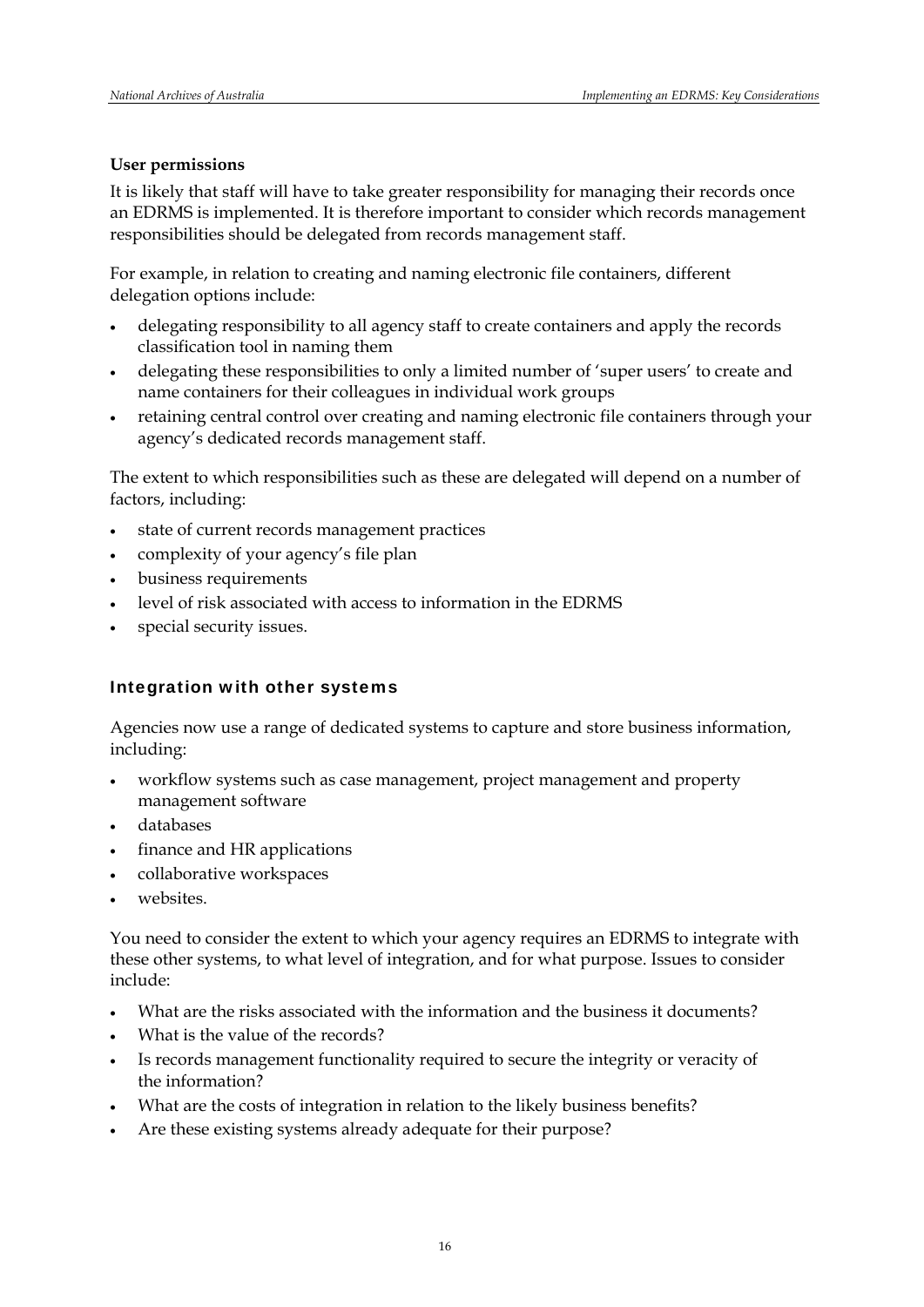## **User permissions**

It is likely that staff will have to take greater responsibility for managing their records once an EDRMS is implemented. It is therefore important to consider which records management responsibilities should be delegated from records management staff.

For example, in relation to creating and naming electronic file containers, different delegation options include:

- delegating responsibility to all agency staff to create containers and apply the records classification tool in naming them
- delegating these responsibilities to only a limited number of 'super users' to create and name containers for their colleagues in individual work groups
- retaining central control over creating and naming electronic file containers through your agency's dedicated records management staff.

The extent to which responsibilities such as these are delegated will depend on a number of factors, including:

- state of current records management practices
- complexity of your agency's file plan
- business requirements
- level of risk associated with access to information in the EDRMS
- special security issues.

## Integration with other systems

Agencies now use a range of dedicated systems to capture and store business information, including:

- workflow systems such as case management, project management and property management software
- databases
- finance and HR applications
- collaborative workspaces
- websites.

You need to consider the extent to which your agency requires an EDRMS to integrate with these other systems, to what level of integration, and for what purpose. Issues to consider include:

- What are the risks associated with the information and the business it documents?
- What is the value of the records?
- Is records management functionality required to secure the integrity or veracity of the information?
- What are the costs of integration in relation to the likely business benefits?
- Are these existing systems already adequate for their purpose?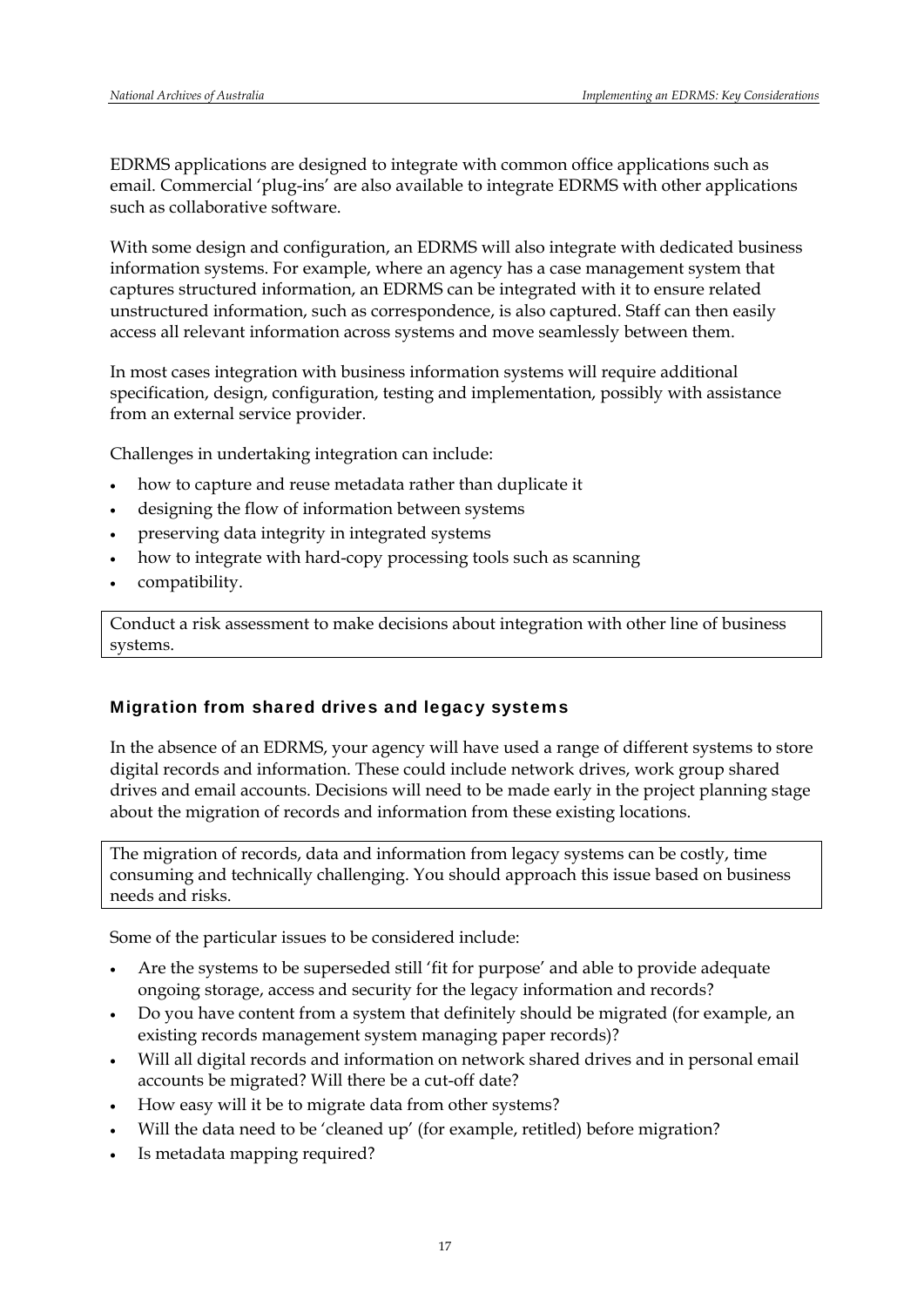EDRMS applications are designed to integrate with common office applications such as email. Commercial 'plug-ins' are also available to integrate EDRMS with other applications such as collaborative software.

With some design and configuration, an EDRMS will also integrate with dedicated business information systems. For example, where an agency has a case management system that captures structured information, an EDRMS can be integrated with it to ensure related unstructured information, such as correspondence, is also captured. Staff can then easily access all relevant information across systems and move seamlessly between them.

In most cases integration with business information systems will require additional specification, design, configuration, testing and implementation, possibly with assistance from an external service provider.

Challenges in undertaking integration can include:

- how to capture and reuse metadata rather than duplicate it
- designing the flow of information between systems
- preserving data integrity in integrated systems
- how to integrate with hard-copy processing tools such as scanning
- compatibility.

Conduct a risk assessment to make decisions about integration with other line of business systems.

#### Migration from shared drives and legacy systems

In the absence of an EDRMS, your agency will have used a range of different systems to store digital records and information. These could include network drives, work group shared drives and email accounts. Decisions will need to be made early in the project planning stage about the migration of records and information from these existing locations.

The migration of records, data and information from legacy systems can be costly, time consuming and technically challenging. You should approach this issue based on business needs and risks.

Some of the particular issues to be considered include:

- Are the systems to be superseded still 'fit for purpose' and able to provide adequate ongoing storage, access and security for the legacy information and records?
- Do you have content from a system that definitely should be migrated (for example, an existing records management system managing paper records)?
- Will all digital records and information on network shared drives and in personal email accounts be migrated? Will there be a cut-off date?
- How easy will it be to migrate data from other systems?
- Will the data need to be 'cleaned up' (for example, retitled) before migration?
- Is metadata mapping required?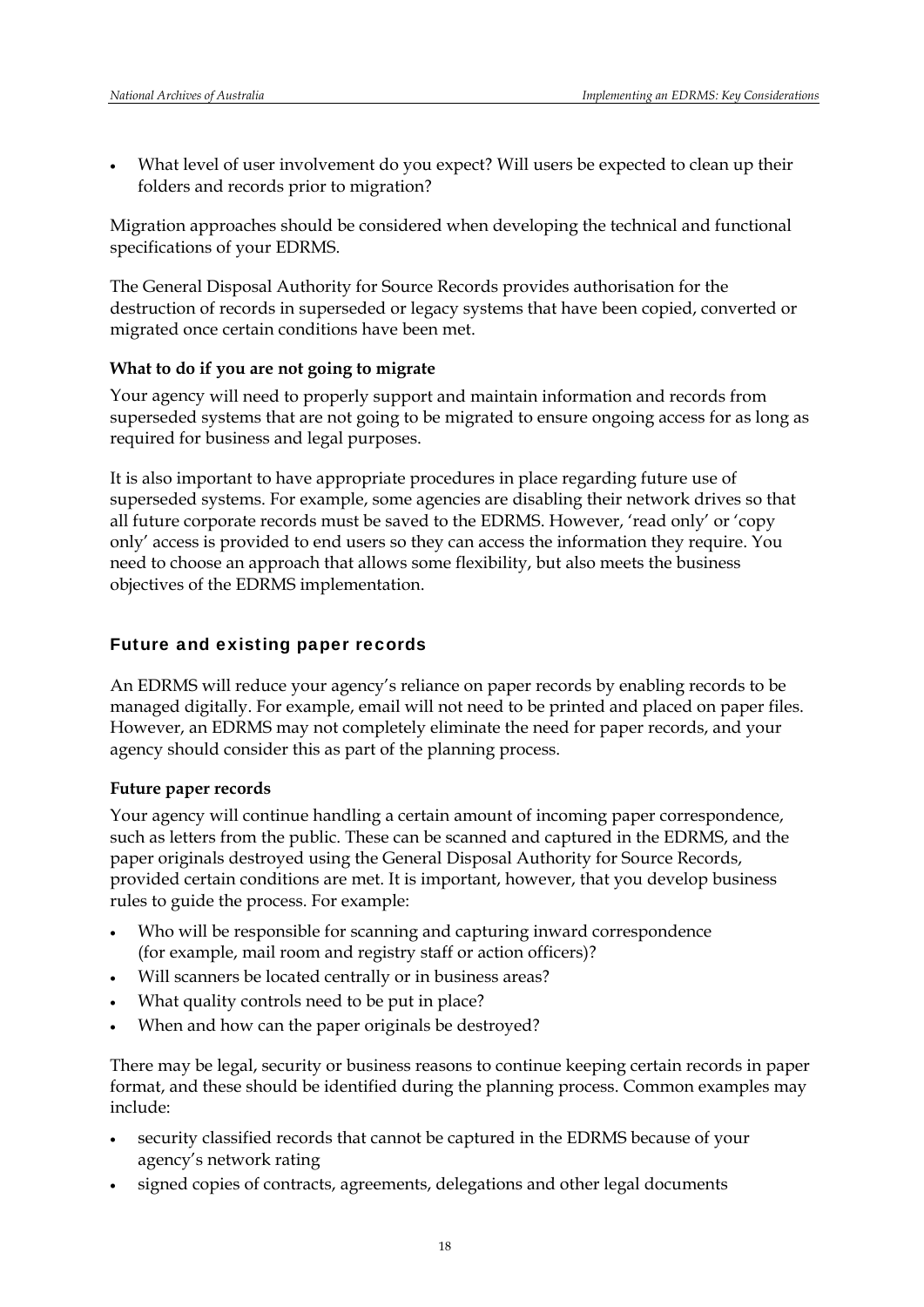What level of user involvement do you expect? Will users be expected to clean up their folders and records prior to migration?

Migration approaches should be considered when developing the technical and functional specifications of your EDRMS.

The General Disposal Authority for Source Records provides authorisation for the destruction of records in superseded or legacy systems that have been copied, converted or migrated once certain conditions have been met.

#### **What to do if you are not going to migrate**

Your agency will need to properly support and maintain information and records from superseded systems that are not going to be migrated to ensure ongoing access for as long as required for business and legal purposes.

It is also important to have appropriate procedures in place regarding future use of superseded systems. For example, some agencies are disabling their network drives so that all future corporate records must be saved to the EDRMS. However, 'read only' or 'copy only' access is provided to end users so they can access the information they require. You need to choose an approach that allows some flexibility, but also meets the business objectives of the EDRMS implementation.

### Future and existing paper records

An EDRMS will reduce your agency's reliance on paper records by enabling records to be managed digitally. For example, email will not need to be printed and placed on paper files. However, an EDRMS may not completely eliminate the need for paper records, and your agency should consider this as part of the planning process.

#### **Future paper records**

Your agency will continue handling a certain amount of incoming paper correspondence, such as letters from the public. These can be scanned and captured in the EDRMS, and the paper originals destroyed using the General Disposal Authority for Source Records, provided certain conditions are met. It is important, however, that you develop business rules to guide the process. For example:

- Who will be responsible for scanning and capturing inward correspondence (for example, mail room and registry staff or action officers)?
- Will scanners be located centrally or in business areas?
- What quality controls need to be put in place?
- When and how can the paper originals be destroyed?

There may be legal, security or business reasons to continue keeping certain records in paper format, and these should be identified during the planning process. Common examples may include:

- security classified records that cannot be captured in the EDRMS because of your agency's network rating
- signed copies of contracts, agreements, delegations and other legal documents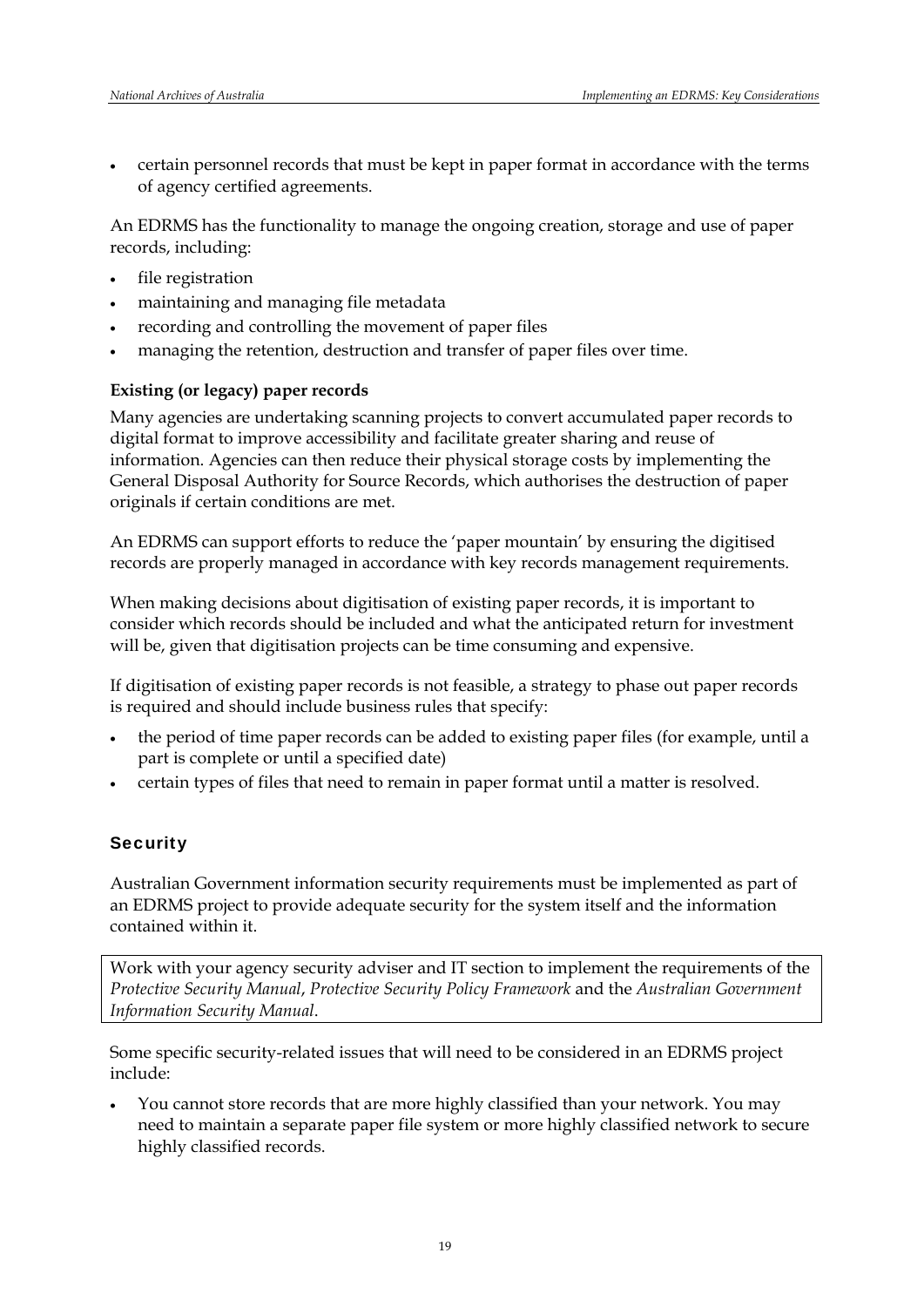certain personnel records that must be kept in paper format in accordance with the terms of agency certified agreements.

An EDRMS has the functionality to manage the ongoing creation, storage and use of paper records, including:

- file registration
- maintaining and managing file [metadata](http://www.naa.gov.au/records-management/create-capture-describe/describe/index.aspx)
- recording and controlling the movement of paper files
- managing the retention, destruction and transfer of paper files over time.

#### **Existing (or legacy) paper records**

Many agencies are undertaking scanning projects to convert accumulated paper records to digital format to improve accessibility and facilitate greater sharing and reuse of information. Agencies can then reduce their physical storage costs by implementing the General Disposal Authority for Source Records, which authorises the destruction of paper originals if certain conditions are met.

An EDRMS can support efforts to reduce the 'paper mountain' by ensuring the digitised records are properly managed in accordance with key records management requirements.

When making decisions about digitisation of existing paper records, it is important to consider which records should be included and what the anticipated return for investment will be, given that digitisation projects can be time consuming and expensive.

If digitisation of existing paper records is not feasible, a strategy to phase out paper records is required and should include business rules that specify:

- the period of time paper records can be added to existing paper files (for example, until a part is complete or until a specified date)
- certain types of files that need to remain in paper format until a matter is resolved.

## **Security**

Australian Government information security requirements must be implemented as part of an EDRMS project to provide adequate security for the system itself and the information contained within it.

Work with your agency security adviser and IT section to implement the requirements of the *[Protective Security Manual](http://www.ag.gov.au/www/agd/rwpattach.nsf/VAP/(4341200FE1255EFC59DB7A1770C1D0A5)%7EConferencepapers_2004RScott_SIG_Protective_Security_Manual.pdf/$file/Conferencepapers_2004RScott_SIG_Protective_Security_Manual.pdf)*, *Protective Security Policy Framework* and the *[Australian Government](http://www.dsd.gov.au/library/infosec/ism.html)  [Information Security Manual](http://www.dsd.gov.au/library/infosec/ism.html)*.

Some specific security-related issues that will need to be considered in an EDRMS project include:

 You cannot store records that are more highly classified than your network. You may need to maintain a separate paper file system or more highly classified network to secure highly classified records.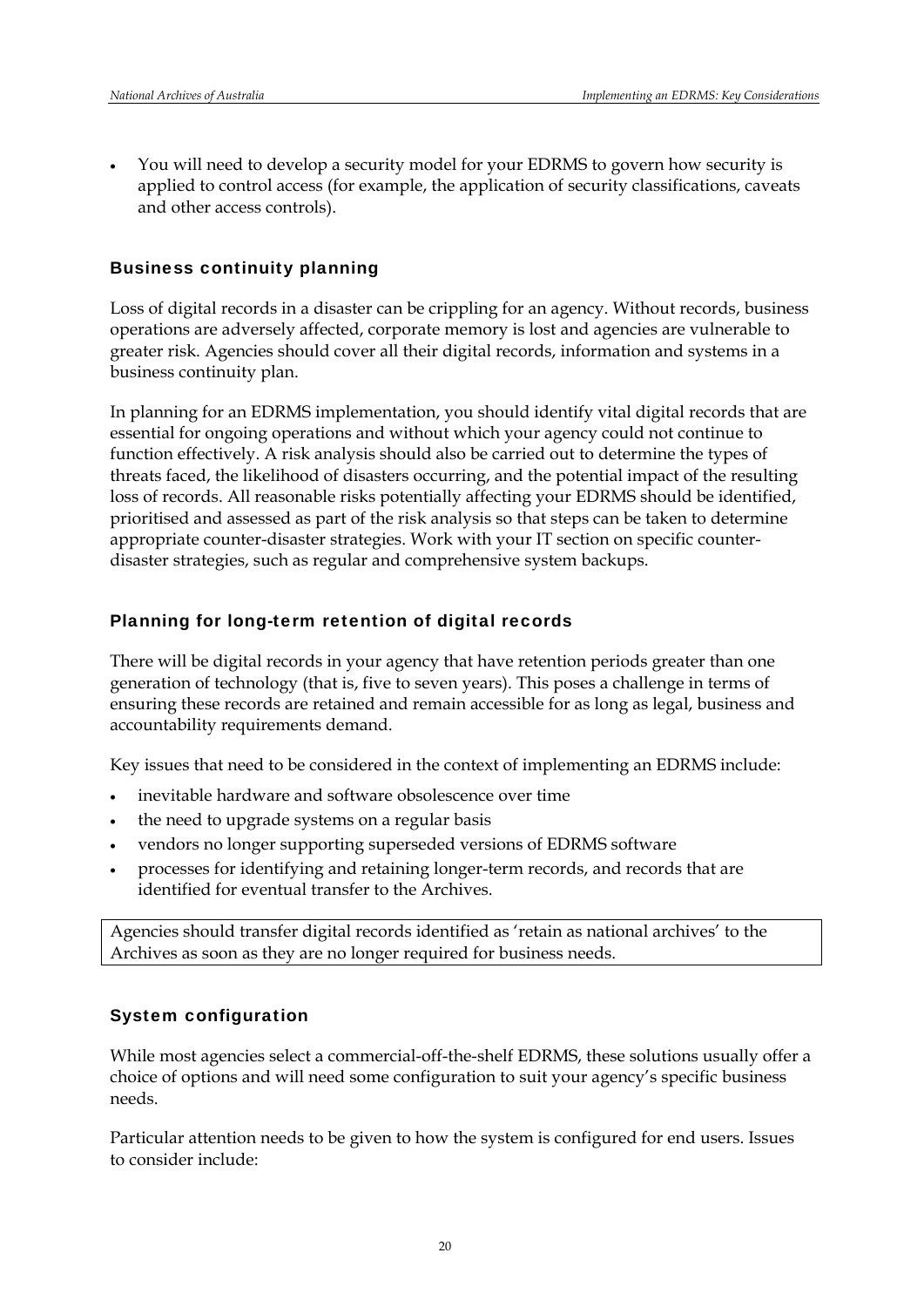You will need to develop a security model for your EDRMS to govern how security is applied to control access (for example, the application of security classifications, caveats and other access controls).

### Business continuity planning

Loss of digital records in a disaster can be crippling for an agency. Without records, business operations are adversely affected, corporate memory is lost and agencies are vulnerable to greater risk. Agencies should cover all their digital records, information and systems in a business continuity plan.

In planning for an EDRMS implementation, you should identify vital digital records that are essential for ongoing operations and without which your agency could not continue to function effectively. A risk analysis should also be carried out to determine the types of threats faced, the likelihood of disasters occurring, and the potential impact of the resulting loss of records. All reasonable risks potentially affecting your EDRMS should be identified, prioritised and assessed as part of the risk analysis so that steps can be taken to determine appropriate counter-disaster strategies. Work with your IT section on specific counterdisaster strategies, such as regular and comprehensive system backups.

## Planning for long-term retention of digital records

There will be digital records in your agency that have retention periods greater than one generation of technology (that is, five to seven years). This poses a challenge in terms of ensuring these records are retained and remain accessible for as long as legal, business and accountability requirements demand.

Key issues that need to be considered in the context of implementing an EDRMS include:

- inevitable hardware and software obsolescence over time
- the need to upgrade systems on a regular basis
- vendors no longer supporting superseded versions of EDRMS software
- processes for identifying and retaining longer-term records, and records that are identified for eventual transfer to the Archives.

Agencies should transfer digital records identified as 'retain as national archives' to the Archives as soon as they are no longer required for business needs.

## System configuration

While most agencies select a commercial-off-the-shelf EDRMS, these solutions usually offer a choice of options and will need some configuration to suit your agency's specific business needs.

Particular attention needs to be given to how the system is configured for end users. Issues to consider include: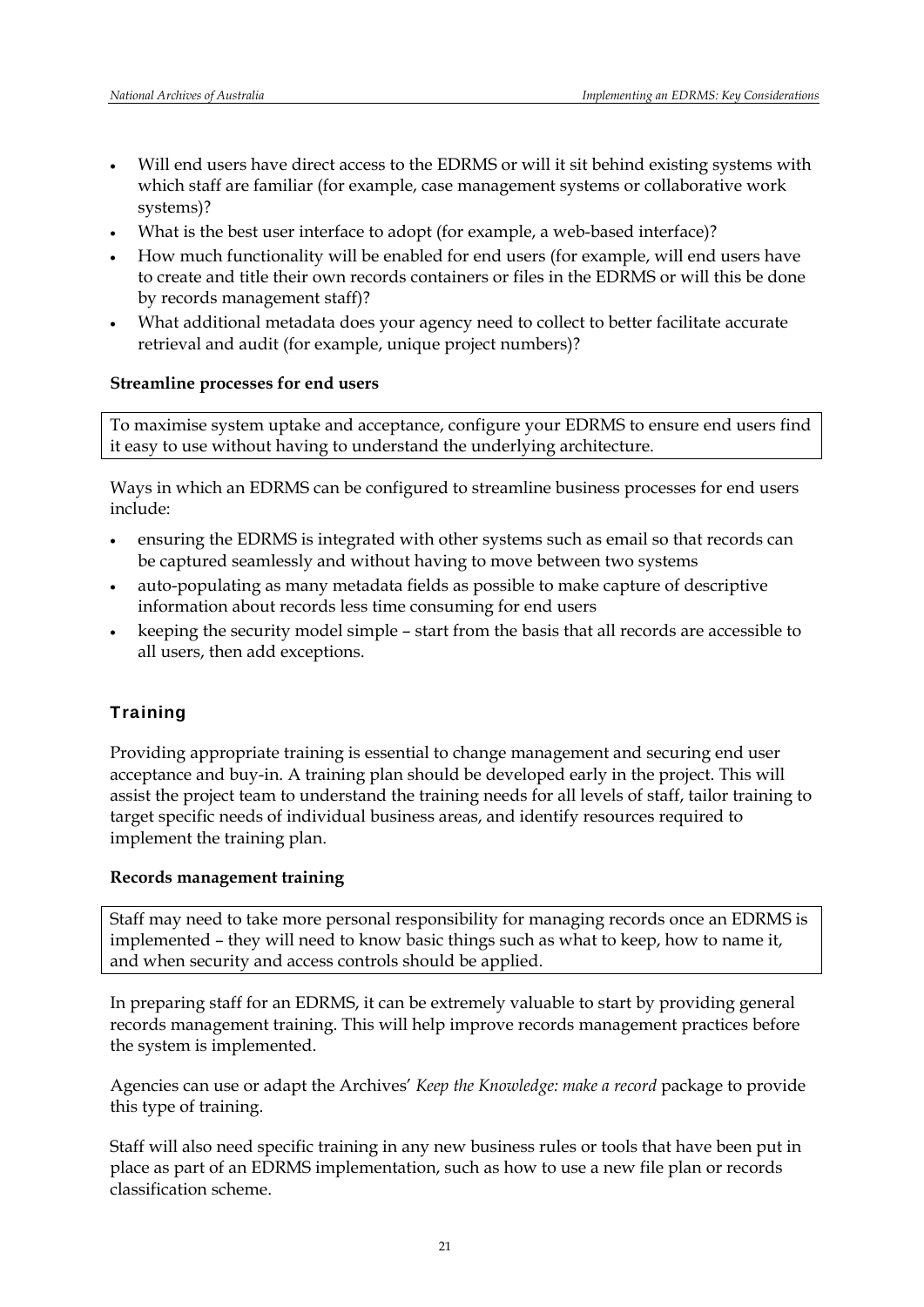- Will end users have direct access to the EDRMS or will it sit behind existing systems with which staff are familiar (for example, case management systems or collaborative work systems)?
- What is the best user interface to adopt (for example, a web-based interface)?
- How much functionality will be enabled for end users (for example, will end users have to create and title their own records containers or files in the EDRMS or will this be done by records management staff)?
- What additional metadata does your agency need to collect to better facilitate accurate retrieval and audit (for example, unique project numbers)?

#### **Streamline processes for end users**

To maximise system uptake and acceptance, configure your EDRMS to ensure end users find it easy to use without having to understand the underlying architecture.

Ways in which an EDRMS can be configured to streamline business processes for end users include:

- ensuring the EDRMS is integrated with other systems such as email so that records can be captured seamlessly and without having to move between two systems
- auto-populating as many metadata fields as possible to make capture of descriptive information about records less time consuming for end users
- keeping the security model simple start from the basis that all records are accessible to all users, then add exceptions.

## **Training**

Providing appropriate training is essential to change management and securing end user acceptance and buy-in. A training plan should be developed early in the project. This will assist the project team to understand the training needs for all levels of staff, tailor training to target specific needs of individual business areas, and identify resources required to implement the training plan.

## **Records management training**

Staff may need to take more personal responsibility for managing records once an EDRMS is implemented – they will need to know basic things such as what to keep, how to name it, and when security and access controls should be applied.

In preparing staff for an EDRMS, it can be extremely valuable to start by providing general records management training. This will help improve records management practices before the system is implemented.

Agencies can use or adapt the Archives' *Keep the Knowledge: make a record* package to provide this type of training.

Staff will also need specific training in any new business rules or tools that have been put in place as part of an EDRMS implementation, such as how to use a new file plan or records classification scheme.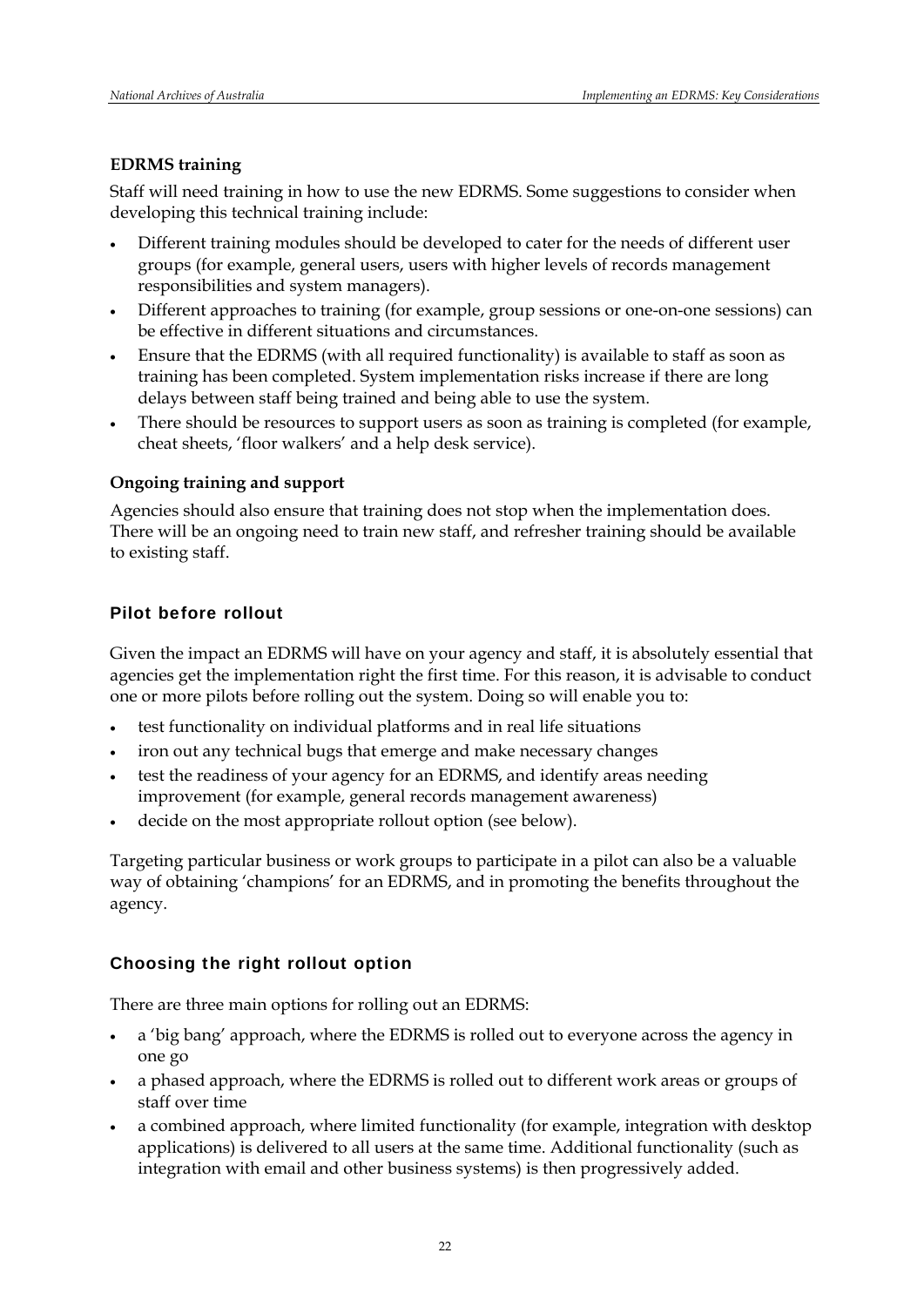## **EDRMS training**

Staff will need training in how to use the new EDRMS. Some suggestions to consider when developing this technical training include:

- Different training modules should be developed to cater for the needs of different user groups (for example, general users, users with higher levels of records management responsibilities and system managers).
- Different approaches to training (for example, group sessions or one-on-one sessions) can be effective in different situations and circumstances.
- Ensure that the EDRMS (with all required functionality) is available to staff as soon as training has been completed. System implementation risks increase if there are long delays between staff being trained and being able to use the system.
- There should be resources to support users as soon as training is completed (for example, cheat sheets, 'floor walkers' and a help desk service).

## **Ongoing training and support**

Agencies should also ensure that training does not stop when the implementation does. There will be an ongoing need to train new staff, and refresher training should be available to existing staff.

## Pilot before rollout

Given the impact an EDRMS will have on your agency and staff, it is absolutely essential that agencies get the implementation right the first time. For this reason, it is advisable to conduct one or more pilots before rolling out the system. Doing so will enable you to:

- test functionality on individual platforms and in real life situations
- iron out any technical bugs that emerge and make necessary changes
- test the readiness of your agency for an EDRMS, and identify areas needing improvement (for example, general records management awareness)
- decide on the most appropriate rollout option (see below).

Targeting particular business or work groups to participate in a pilot can also be a valuable way of obtaining 'champions' for an EDRMS, and in promoting the benefits throughout the agency.

## Choosing the right rollout option

There are three main options for rolling out an EDRMS:

- a 'big bang' approach, where the EDRMS is rolled out to everyone across the agency in one go
- a phased approach, where the EDRMS is rolled out to different work areas or groups of staff over time
- a combined approach, where limited functionality (for example, integration with desktop applications) is delivered to all users at the same time. Additional functionality (such as integration with email and other business systems) is then progressively added.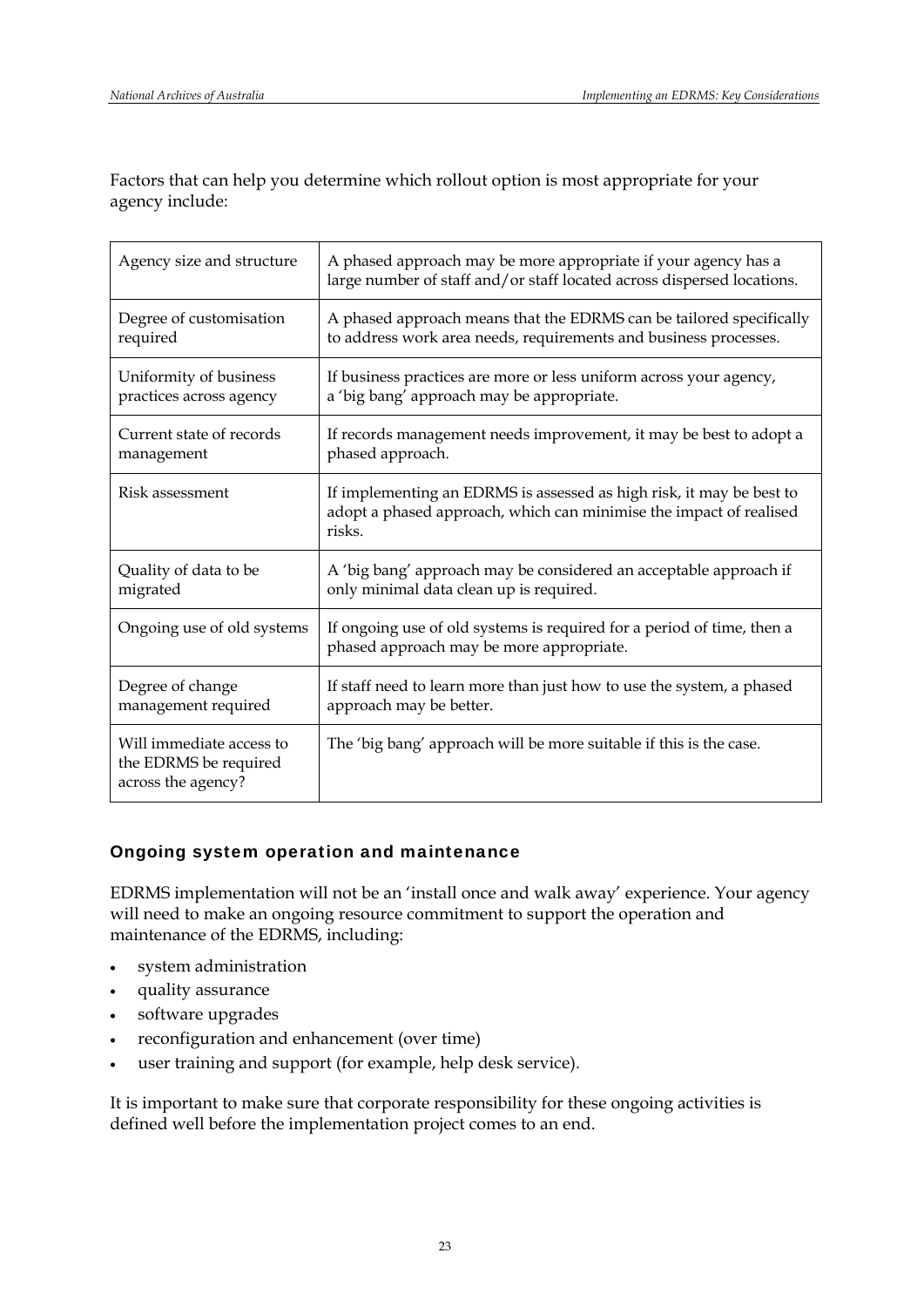Factors that can help you determine which rollout option is most appropriate for your agency include:

| Agency size and structure                                               | A phased approach may be more appropriate if your agency has a<br>large number of staff and/or staff located across dispersed locations.             |
|-------------------------------------------------------------------------|------------------------------------------------------------------------------------------------------------------------------------------------------|
| Degree of customisation                                                 | A phased approach means that the EDRMS can be tailored specifically                                                                                  |
| required                                                                | to address work area needs, requirements and business processes.                                                                                     |
| Uniformity of business                                                  | If business practices are more or less uniform across your agency,                                                                                   |
| practices across agency                                                 | a 'big bang' approach may be appropriate.                                                                                                            |
| Current state of records                                                | If records management needs improvement, it may be best to adopt a                                                                                   |
| management                                                              | phased approach.                                                                                                                                     |
| Risk assessment                                                         | If implementing an EDRMS is assessed as high risk, it may be best to<br>adopt a phased approach, which can minimise the impact of realised<br>risks. |
| Quality of data to be                                                   | A 'big bang' approach may be considered an acceptable approach if                                                                                    |
| migrated                                                                | only minimal data clean up is required.                                                                                                              |
| Ongoing use of old systems                                              | If ongoing use of old systems is required for a period of time, then a<br>phased approach may be more appropriate.                                   |
| Degree of change                                                        | If staff need to learn more than just how to use the system, a phased                                                                                |
| management required                                                     | approach may be better.                                                                                                                              |
| Will immediate access to<br>the EDRMS be required<br>across the agency? | The 'big bang' approach will be more suitable if this is the case.                                                                                   |

## Ongoing system operation and maintenance

EDRMS implementation will not be an 'install once and walk away' experience. Your agency will need to make an ongoing resource commitment to support the operation and maintenance of the EDRMS, including:

- system administration
- quality assurance
- software upgrades
- reconfiguration and enhancement (over time)
- user training and support (for example, help desk service).

It is important to make sure that corporate responsibility for these ongoing activities is defined well before the implementation project comes to an end.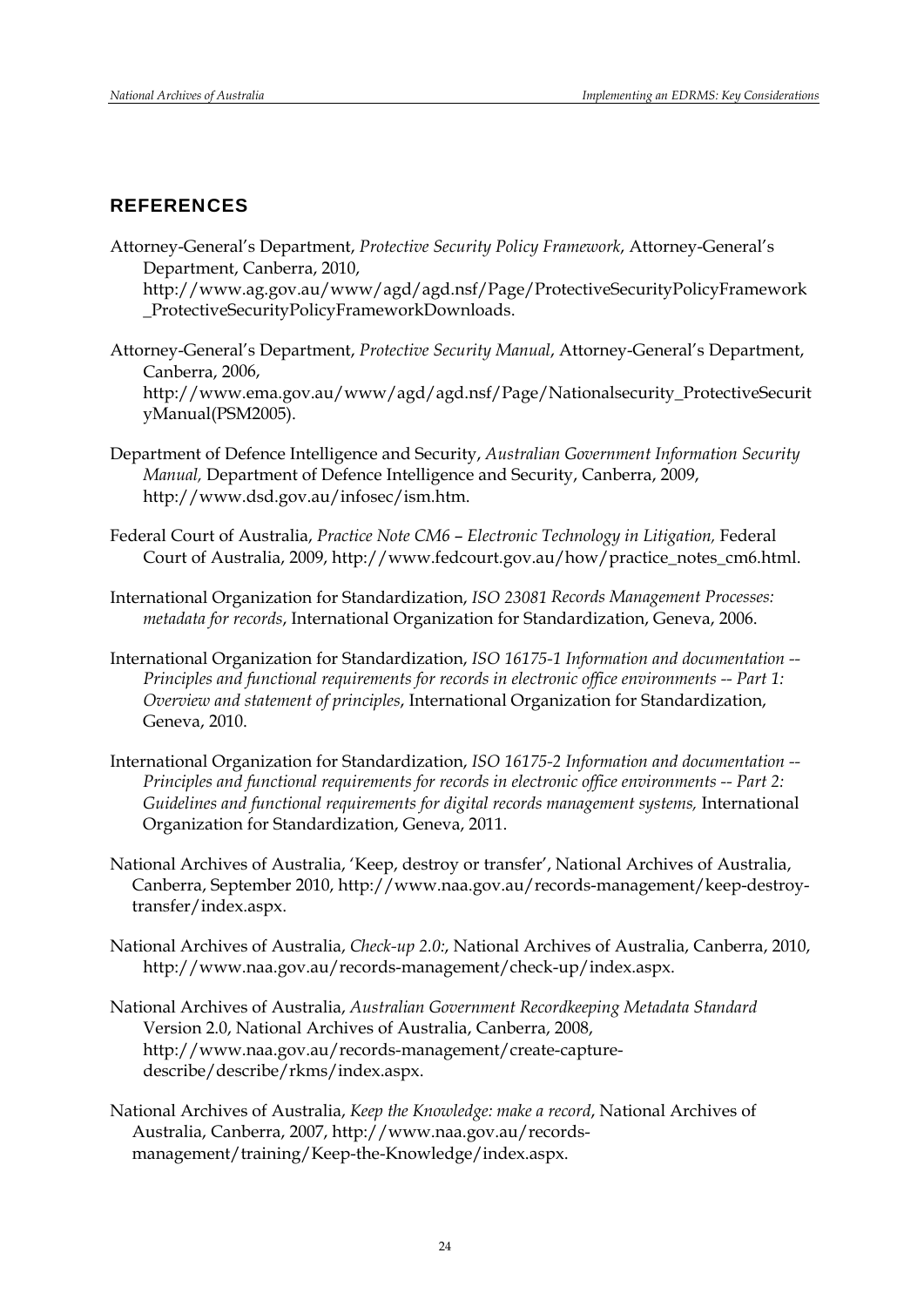## REFERENCES

Attorney-General's Department, *Protective Security Policy Framework*, Attorney-General's Department, Canberra, 2010,

[http://www.ag.gov.au/www/agd/agd.nsf/Page/ProtectiveSecurityPolicyFramework](http://www.ag.gov.au/www/agd/agd.nsf/Page/ProtectiveSecurityPolicyFramework_ProtectiveSecurityPolicyFrameworkDownloads) [\\_ProtectiveSecurityPolicyFrameworkDownloads](http://www.ag.gov.au/www/agd/agd.nsf/Page/ProtectiveSecurityPolicyFramework_ProtectiveSecurityPolicyFrameworkDownloads).

- Attorney-General's Department, *Protective Security Manual*, Attorney-General's Department, Canberra, 2006, [http://www.ema.gov.au/www/agd/agd.nsf/Page/Nationalsecurity\\_ProtectiveSecurit](http://www.ema.gov.au/www/agd/agd.nsf/Page/Nationalsecurity_ProtectiveSecurityManual(PSM2005)) [yManual\(PSM2005\)](http://www.ema.gov.au/www/agd/agd.nsf/Page/Nationalsecurity_ProtectiveSecurityManual(PSM2005)).
- Department of Defence Intelligence and Security, *Australian Government Information Security Manual,* Department of Defence Intelligence and Security, Canberra, 2009, http://www.dsd.gov.au/infosec/ism.htm.
- Federal Court of Australia, *Practice Note CM6 Electronic Technology in Litigation,* Federal Court of Australia, 2009, http://www.fedcourt.gov.au/how/practice\_notes\_cm6.html.
- International Organization for Standardization, *ISO 23081 Records Management Processes: metadata for records*, International Organization for Standardization, Geneva, 2006.
- International Organization for Standardization, *ISO 16175-1 Information and documentation -- Principles and functional requirements for records in electronic office environments -- Part 1: Overview and statement of principles*, International Organization for Standardization, Geneva, 2010.
- International Organization for Standardization, *ISO 16175-2 Information and documentation -- Principles and functional requirements for records in electronic office environments -- Part 2:*  Guidelines and functional requirements for digital records management systems, International Organization for Standardization, Geneva, 2011.
- National Archives of Australia, 'Keep, destroy or transfer', National Archives of Australia, Canberra, September 2010, [http://www.naa.gov.au/records-management/keep-destroy](http://www.naa.gov.au/records-management/keep-destroy-transfer/index.aspx)[transfer/index.aspx](http://www.naa.gov.au/records-management/keep-destroy-transfer/index.aspx).
- National Archives of Australia, *Check-up 2.0:*, National Archives of Australia, Canberra, 2010, <http://www.naa.gov.au/records-management/check-up/index.aspx>.
- National Archives of Australia, *Australian Government Recordkeeping Metadata Standard* Version 2.0, National Archives of Australia, Canberra, 2008, [http://www.naa.gov.au/records-management/create-capture](http://www.naa.gov.au/records-management/create-capture-describe/describe/rkms/index.aspx)[describe/describe/rkms/index.aspx](http://www.naa.gov.au/records-management/create-capture-describe/describe/rkms/index.aspx).
- National Archives of Australia, *Keep the Knowledge: make a record*, National Archives of Australia, Canberra, 2007, [http://www.naa.gov.au/records](http://www.naa.gov.au/records-management/training/Keep-the-Knowledge/index.aspx)[management/training/Keep-the-Knowledge/index.aspx.](http://www.naa.gov.au/records-management/training/Keep-the-Knowledge/index.aspx)